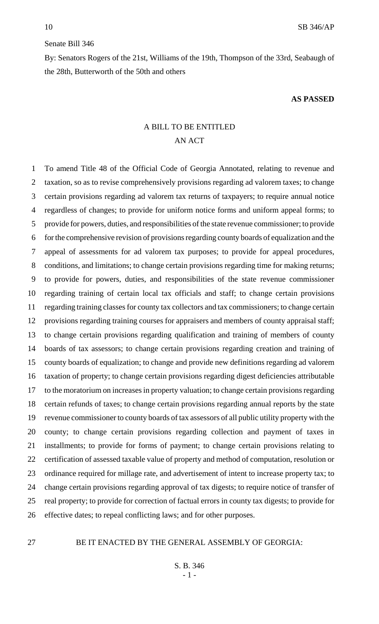#### Senate Bill 346

By: Senators Rogers of the 21st, Williams of the 19th, Thompson of the 33rd, Seabaugh of the 28th, Butterworth of the 50th and others

#### **AS PASSED**

# A BILL TO BE ENTITLED AN ACT

 To amend Title 48 of the Official Code of Georgia Annotated, relating to revenue and taxation, so as to revise comprehensively provisions regarding ad valorem taxes; to change certain provisions regarding ad valorem tax returns of taxpayers; to require annual notice regardless of changes; to provide for uniform notice forms and uniform appeal forms; to provide for powers, duties, and responsibilities of the state revenue commissioner; to provide for the comprehensive revision of provisions regarding county boards of equalization and the appeal of assessments for ad valorem tax purposes; to provide for appeal procedures, conditions, and limitations; to change certain provisions regarding time for making returns; to provide for powers, duties, and responsibilities of the state revenue commissioner regarding training of certain local tax officials and staff; to change certain provisions regarding training classes for county tax collectors and tax commissioners; to change certain provisions regarding training courses for appraisers and members of county appraisal staff; to change certain provisions regarding qualification and training of members of county boards of tax assessors; to change certain provisions regarding creation and training of county boards of equalization; to change and provide new definitions regarding ad valorem taxation of property; to change certain provisions regarding digest deficiencies attributable to the moratorium on increases in property valuation; to change certain provisions regarding certain refunds of taxes; to change certain provisions regarding annual reports by the state revenue commissioner to county boards of tax assessors of all public utility property with the county; to change certain provisions regarding collection and payment of taxes in installments; to provide for forms of payment; to change certain provisions relating to certification of assessed taxable value of property and method of computation, resolution or ordinance required for millage rate, and advertisement of intent to increase property tax; to change certain provisions regarding approval of tax digests; to require notice of transfer of real property; to provide for correction of factual errors in county tax digests; to provide for effective dates; to repeal conflicting laws; and for other purposes.

### BE IT ENACTED BY THE GENERAL ASSEMBLY OF GEORGIA: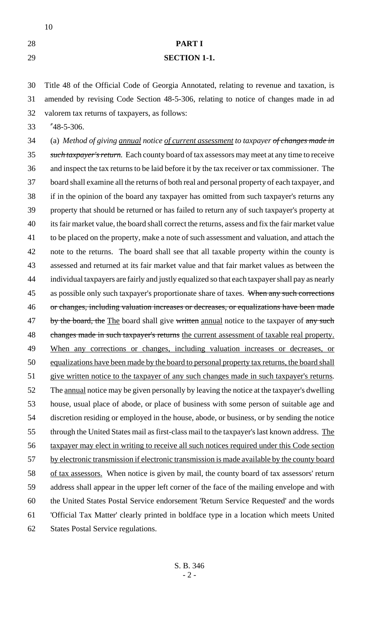# **PART I**

### **SECTION 1-1.**

 Title 48 of the Official Code of Georgia Annotated, relating to revenue and taxation, is amended by revising Code Section 48-5-306, relating to notice of changes made in ad valorem tax returns of taxpayers, as follows:

"48-5-306.

 (a) *Method of giving annual notice of current assessment to taxpayer of changes made in such taxpayer's return.* Each county board of tax assessors may meet at any time to receive and inspect the tax returns to be laid before it by the tax receiver or tax commissioner. The board shall examine all the returns of both real and personal property of each taxpayer, and if in the opinion of the board any taxpayer has omitted from such taxpayer's returns any property that should be returned or has failed to return any of such taxpayer's property at its fair market value, the board shall correct the returns, assess and fix the fair market value to be placed on the property, make a note of such assessment and valuation, and attach the note to the returns. The board shall see that all taxable property within the county is assessed and returned at its fair market value and that fair market values as between the individual taxpayers are fairly and justly equalized so that each taxpayer shall pay as nearly 45 as possible only such taxpayer's proportionate share of taxes. When any such corrections or changes, including valuation increases or decreases, or equalizations have been made 47 by the board, the The board shall give written annual notice to the taxpayer of any such 48 changes made in such taxpayer's returns the current assessment of taxable real property. When any corrections or changes, including valuation increases or decreases, or equalizations have been made by the board to personal property tax returns, the board shall give written notice to the taxpayer of any such changes made in such taxpayer's returns. 52 The <u>annual</u> notice may be given personally by leaving the notice at the taxpayer's dwelling house, usual place of abode, or place of business with some person of suitable age and discretion residing or employed in the house, abode, or business, or by sending the notice 55 through the United States mail as first-class mail to the taxpayer's last known address. The taxpayer may elect in writing to receive all such notices required under this Code section 57 by electronic transmission if electronic transmission is made available by the county board 58 of tax assessors. When notice is given by mail, the county board of tax assessors' return address shall appear in the upper left corner of the face of the mailing envelope and with the United States Postal Service endorsement 'Return Service Requested' and the words 'Official Tax Matter' clearly printed in boldface type in a location which meets United States Postal Service regulations.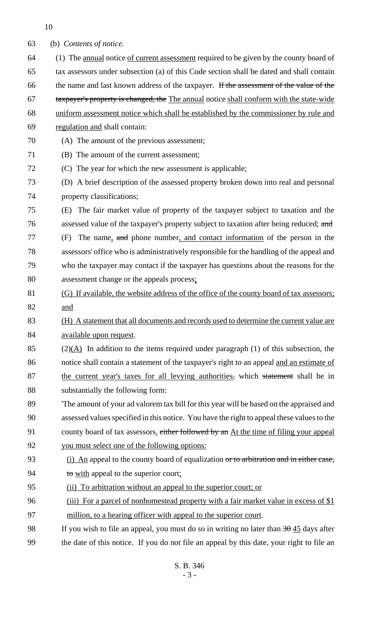| 63 | (b) Contents of notice.                                                                            |
|----|----------------------------------------------------------------------------------------------------|
| 64 | (1) The annual notice of current assessment required to be given by the county board of            |
| 65 | tax assessors under subsection (a) of this Code section shall be dated and shall contain           |
| 66 | the name and last known address of the taxpayer. If the assessment of the value of the             |
| 67 | taxpayer's property is changed, the The annual notice shall conform with the state-wide            |
| 68 | uniform assessment notice which shall be established by the commissioner by rule and               |
| 69 | regulation and shall contain:                                                                      |
| 70 | (A) The amount of the previous assessment;                                                         |
| 71 | (B) The amount of the current assessment;                                                          |
| 72 | (C) The year for which the new assessment is applicable;                                           |
| 73 | (D) A brief description of the assessed property broken down into real and personal                |
| 74 | property classifications;                                                                          |
| 75 | The fair market value of property of the taxpayer subject to taxation and the<br>(E)               |
| 76 | assessed value of the taxpayer's property subject to taxation after being reduced; and             |
| 77 | The name, and phone number, and contact information of the person in the<br>(F)                    |
| 78 | assessors' office who is administratively responsible for the handling of the appeal and           |
| 79 | who the taxpayer may contact if the taxpayer has questions about the reasons for the               |
| 80 | assessment change or the appeals process:                                                          |
| 81 | (G) If available, the website address of the office of the county board of tax assessors;          |
| 82 | and                                                                                                |
| 83 | (H) A statement that all documents and records used to determine the current value are             |
| 84 | available upon request.                                                                            |
| 85 | $(2)(\underline{A})$ In addition to the items required under paragraph (1) of this subsection, the |
| 86 | notice shall contain a statement of the taxpayer's right to an appeal and an estimate of           |
| 87 | the current year's taxes for all levying authorities, which statement shall be in                  |
| 88 | substantially the following form:                                                                  |
| 89 | The amount of your ad valorem tax bill for this year will be based on the appraised and            |
| 90 | assessed values specified in this notice. You have the right to appeal these values to the         |
| 91 | county board of tax assessors, either followed by an At the time of filing your appeal             |
| 92 | you must select one of the following options:                                                      |
| 93 | (i) An appeal to the county board of equalization or to arbitration and in either case,            |
| 94 | to with appeal to the superior court;                                                              |
| 95 | (ii) To arbitration without an appeal to the superior court; or                                    |
| 96 | (iii) For a parcel of nonhomestead property with a fair market value in excess of \$1              |
| 97 | million, to a hearing officer with appeal to the superior court.                                   |
| 98 | If you wish to file an appeal, you must do so in writing no later than $3\theta$ 45 days after     |
| 99 | the date of this notice. If you do not file an appeal by this date, your right to file an          |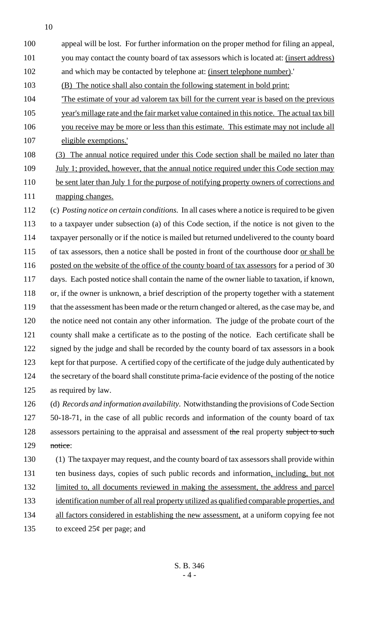100 appeal will be lost. For further information on the proper method for filing an appeal,

101 you may contact the county board of tax assessors which is located at: (insert address)

102 and which may be contacted by telephone at: (insert telephone number).'

103 (B) The notice shall also contain the following statement in bold print:

104 'The estimate of your ad valorem tax bill for the current year is based on the previous

105 year's millage rate and the fair market value contained in this notice. The actual tax bill 106 you receive may be more or less than this estimate. This estimate may not include all

107 eligible exemptions.'

108 (3) The annual notice required under this Code section shall be mailed no later than

109 July 1; provided, however, that the annual notice required under this Code section may 110 be sent later than July 1 for the purpose of notifying property owners of corrections and 111 mapping changes.

 (c) *Posting notice on certain conditions.* In all cases where a notice is required to be given to a taxpayer under subsection (a) of this Code section, if the notice is not given to the taxpayer personally or if the notice is mailed but returned undelivered to the county board 115 of tax assessors, then a notice shall be posted in front of the courthouse door <u>or shall be</u> 116 posted on the website of the office of the county board of tax assessors for a period of 30 days. Each posted notice shall contain the name of the owner liable to taxation, if known, or, if the owner is unknown, a brief description of the property together with a statement 119 that the assessment has been made or the return changed or altered, as the case may be, and the notice need not contain any other information. The judge of the probate court of the county shall make a certificate as to the posting of the notice. Each certificate shall be signed by the judge and shall be recorded by the county board of tax assessors in a book kept for that purpose. A certified copy of the certificate of the judge duly authenticated by the secretary of the board shall constitute prima-facie evidence of the posting of the notice as required by law. (d) *Records and information availability.* Notwithstanding the provisions of Code Section

127 50-18-71, in the case of all public records and information of the county board of tax 128 assessors pertaining to the appraisal and assessment of the real property subject to such 129 notice:

- 130 (1) The taxpayer may request, and the county board of tax assessors shall provide within 131 ten business days, copies of such public records and information, including, but not 132 limited to, all documents reviewed in making the assessment, the address and parcel 133 identification number of all real property utilized as qualified comparable properties, and 134 all factors considered in establishing the new assessment, at a uniform copying fee not
- 135 to exceed  $25¢$  per page; and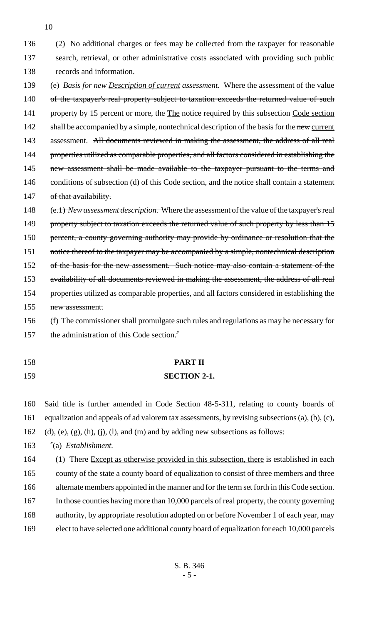136 (2) No additional charges or fees may be collected from the taxpayer for reasonable 137 search, retrieval, or other administrative costs associated with providing such public 138 records and information.

- 139 (e) *Basis for new Description of current assessment.* Where the assessment of the value 140 of the taxpayer's real property subject to taxation exceeds the returned value of such 141 property by 15 percent or more, the The notice required by this subsection Code section 142 shall be accompanied by a simple, nontechnical description of the basis for the new current 143 assessment. All documents reviewed in making the assessment, the address of all real 144 properties utilized as comparable properties, and all factors considered in establishing the 145 new assessment shall be made available to the taxpayer pursuant to the terms and 146 conditions of subsection (d) of this Code section, and the notice shall contain a statement 147 of that availability.
- 148 (e.1) *New assessment description.* Where the assessment of the value of the taxpayer's real 149 property subject to taxation exceeds the returned value of such property by less than 15 150 percent, a county governing authority may provide by ordinance or resolution that the 151 notice thereof to the taxpayer may be accompanied by a simple, nontechnical description 152 of the basis for the new assessment. Such notice may also contain a statement of the 153 availability of all documents reviewed in making the assessment, the address of all real 154 properties utilized as comparable properties, and all factors considered in establishing the 155 new assessment. 156 (f) The commissioner shall promulgate such rules and regulations as may be necessary for
- 157 the administration of this Code section."
- 

# 158 **PART II**

### 159 **SECTION 2-1.**

160 Said title is further amended in Code Section 48-5-311, relating to county boards of 161 equalization and appeals of ad valorem tax assessments, by revising subsections (a), (b), (c), 162 (d), (e), (g), (h), (j), (l), and (m) and by adding new subsections as follows:

163 "(a) *Establishment.*

164 (1) There Except as otherwise provided in this subsection, there is established in each 165 county of the state a county board of equalization to consist of three members and three 166 alternate members appointed in the manner and for the term set forth in this Code section. 167 In those counties having more than 10,000 parcels of real property, the county governing 168 authority, by appropriate resolution adopted on or before November 1 of each year, may 169 elect to have selected one additional county board of equalization for each 10,000 parcels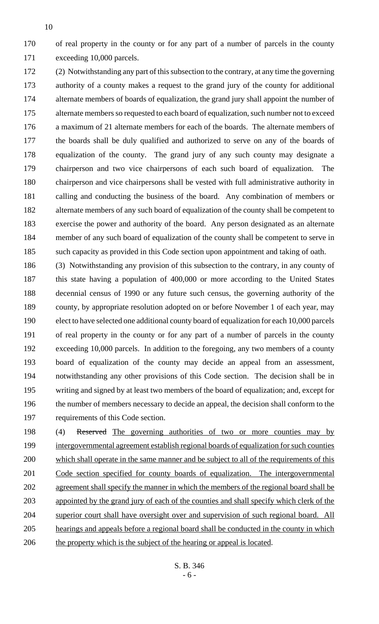of real property in the county or for any part of a number of parcels in the county exceeding 10,000 parcels.

 (2) Notwithstanding any part of this subsection to the contrary, at any time the governing authority of a county makes a request to the grand jury of the county for additional alternate members of boards of equalization, the grand jury shall appoint the number of 175 alternate members so requested to each board of equalization, such number not to exceed a maximum of 21 alternate members for each of the boards. The alternate members of the boards shall be duly qualified and authorized to serve on any of the boards of equalization of the county. The grand jury of any such county may designate a chairperson and two vice chairpersons of each such board of equalization. The chairperson and vice chairpersons shall be vested with full administrative authority in calling and conducting the business of the board. Any combination of members or alternate members of any such board of equalization of the county shall be competent to exercise the power and authority of the board. Any person designated as an alternate member of any such board of equalization of the county shall be competent to serve in such capacity as provided in this Code section upon appointment and taking of oath.

 (3) Notwithstanding any provision of this subsection to the contrary, in any county of this state having a population of 400,000 or more according to the United States decennial census of 1990 or any future such census, the governing authority of the county, by appropriate resolution adopted on or before November 1 of each year, may elect to have selected one additional county board of equalization for each 10,000 parcels of real property in the county or for any part of a number of parcels in the county exceeding 10,000 parcels. In addition to the foregoing, any two members of a county board of equalization of the county may decide an appeal from an assessment, notwithstanding any other provisions of this Code section. The decision shall be in writing and signed by at least two members of the board of equalization; and, except for the number of members necessary to decide an appeal, the decision shall conform to the requirements of this Code section.

198 (4) Reserved The governing authorities of two or more counties may by intergovernmental agreement establish regional boards of equalization for such counties which shall operate in the same manner and be subject to all of the requirements of this Code section specified for county boards of equalization. The intergovernmental agreement shall specify the manner in which the members of the regional board shall be appointed by the grand jury of each of the counties and shall specify which clerk of the superior court shall have oversight over and supervision of such regional board. All hearings and appeals before a regional board shall be conducted in the county in which 206 the property which is the subject of the hearing or appeal is located.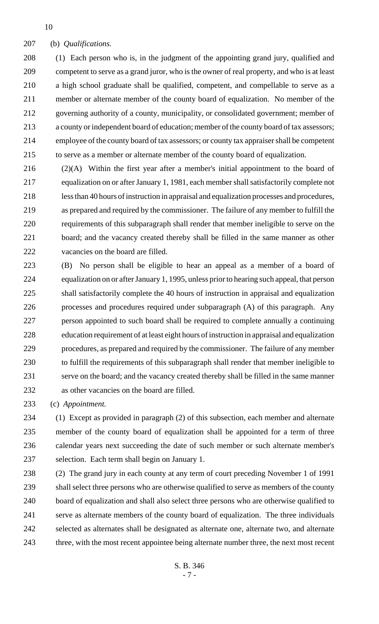(b) *Qualifications.*

 (1) Each person who is, in the judgment of the appointing grand jury, qualified and competent to serve as a grand juror, who is the owner of real property, and who is at least a high school graduate shall be qualified, competent, and compellable to serve as a member or alternate member of the county board of equalization. No member of the governing authority of a county, municipality, or consolidated government; member of a county or independent board of education; member of the county board of tax assessors; employee of the county board of tax assessors; or county tax appraiser shall be competent to serve as a member or alternate member of the county board of equalization.

 (2)(A) Within the first year after a member's initial appointment to the board of equalization on or after January 1, 1981, each member shall satisfactorily complete not less than 40 hours of instruction in appraisal and equalization processes and procedures, as prepared and required by the commissioner. The failure of any member to fulfill the requirements of this subparagraph shall render that member ineligible to serve on the board; and the vacancy created thereby shall be filled in the same manner as other vacancies on the board are filled.

 (B) No person shall be eligible to hear an appeal as a member of a board of equalization on or after January 1, 1995, unless prior to hearing such appeal, that person shall satisfactorily complete the 40 hours of instruction in appraisal and equalization processes and procedures required under subparagraph (A) of this paragraph. Any person appointed to such board shall be required to complete annually a continuing education requirement of at least eight hours of instruction in appraisal and equalization procedures, as prepared and required by the commissioner. The failure of any member to fulfill the requirements of this subparagraph shall render that member ineligible to serve on the board; and the vacancy created thereby shall be filled in the same manner as other vacancies on the board are filled.

(c) *Appointment.*

 (1) Except as provided in paragraph (2) of this subsection, each member and alternate member of the county board of equalization shall be appointed for a term of three calendar years next succeeding the date of such member or such alternate member's selection. Each term shall begin on January 1.

 (2) The grand jury in each county at any term of court preceding November 1 of 1991 shall select three persons who are otherwise qualified to serve as members of the county board of equalization and shall also select three persons who are otherwise qualified to serve as alternate members of the county board of equalization. The three individuals selected as alternates shall be designated as alternate one, alternate two, and alternate 243 three, with the most recent appointee being alternate number three, the next most recent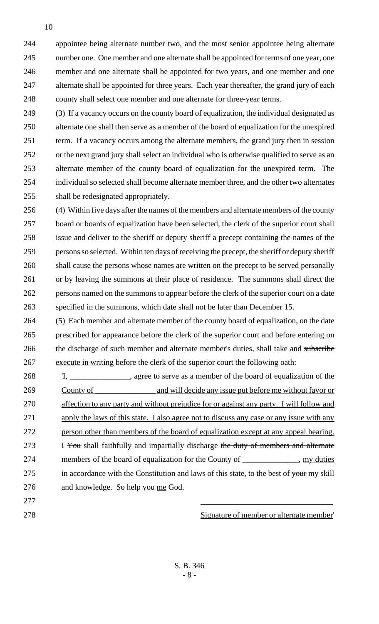appointee being alternate number two, and the most senior appointee being alternate number one. One member and one alternate shall be appointed for terms of one year, one member and one alternate shall be appointed for two years, and one member and one 247 alternate shall be appointed for three years. Each year thereafter, the grand jury of each county shall select one member and one alternate for three-year terms.

 (3) If a vacancy occurs on the county board of equalization, the individual designated as alternate one shall then serve as a member of the board of equalization for the unexpired term. If a vacancy occurs among the alternate members, the grand jury then in session or the next grand jury shall select an individual who is otherwise qualified to serve as an alternate member of the county board of equalization for the unexpired term. The individual so selected shall become alternate member three, and the other two alternates shall be redesignated appropriately.

 (4) Within five days after the names of the members and alternate members of the county board or boards of equalization have been selected, the clerk of the superior court shall issue and deliver to the sheriff or deputy sheriff a precept containing the names of the persons so selected. Within ten days of receiving the precept, the sheriff or deputy sheriff shall cause the persons whose names are written on the precept to be served personally or by leaving the summons at their place of residence. The summons shall direct the persons named on the summons to appear before the clerk of the superior court on a date specified in the summons, which date shall not be later than December 15.

 (5) Each member and alternate member of the county board of equalization, on the date prescribed for appearance before the clerk of the superior court and before entering on 266 the discharge of such member and alternate member's duties, shall take and subscribe execute in writing before the clerk of the superior court the following oath:

268  $\text{I}, \text{I}, \text{I}$  agree to serve as a member of the board of equalization of the County of \_\_\_\_\_\_\_\_\_\_\_\_\_\_\_ and will decide any issue put before me without favor or affection to any party and without prejudice for or against any party. I will follow and apply the laws of this state. I also agree not to discuss any case or any issue with any person other than members of the board of equalization except at any appeal hearing. 273 I You shall faithfully and impartially discharge the duty of members and alternate 274 members of the board of equalization for the County of \_\_\_\_\_\_\_\_\_\_\_, my duties 275 in accordance with the Constitution and laws of this state, to the best of your my skill 276 and knowledge. So help you me God.

Signature of member or alternate member'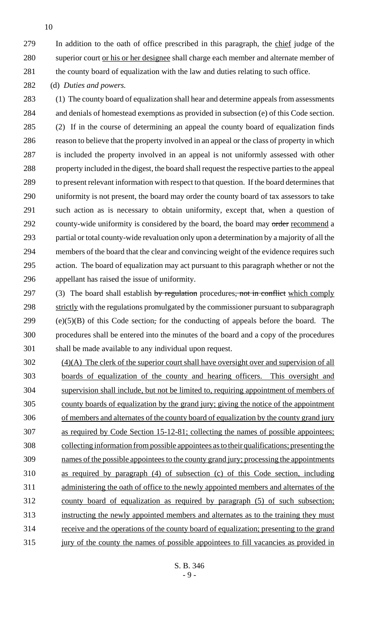In addition to the oath of office prescribed in this paragraph, the chief judge of the superior court or his or her designee shall charge each member and alternate member of 281 the county board of equalization with the law and duties relating to such office.

(d) *Duties and powers.*

 (1) The county board of equalization shall hear and determine appeals from assessments and denials of homestead exemptions as provided in subsection (e) of this Code section. (2) If in the course of determining an appeal the county board of equalization finds reason to believe that the property involved in an appeal or the class of property in which is included the property involved in an appeal is not uniformly assessed with other property included in the digest, the board shall request the respective parties to the appeal to present relevant information with respect to that question. If the board determines that uniformity is not present, the board may order the county board of tax assessors to take such action as is necessary to obtain uniformity, except that, when a question of 292 county-wide uniformity is considered by the board, the board may order recommend a partial or total county-wide revaluation only upon a determination by a majority of all the members of the board that the clear and convincing weight of the evidence requires such action. The board of equalization may act pursuant to this paragraph whether or not the appellant has raised the issue of uniformity.

297 (3) The board shall establish by regulation procedures, not in conflict which comply 298 strictly with the regulations promulgated by the commissioner pursuant to subparagraph (e)(5)(B) of this Code section, for the conducting of appeals before the board. The procedures shall be entered into the minutes of the board and a copy of the procedures shall be made available to any individual upon request.

 (4)(A) The clerk of the superior court shall have oversight over and supervision of all boards of equalization of the county and hearing officers. This oversight and supervision shall include, but not be limited to, requiring appointment of members of county boards of equalization by the grand jury; giving the notice of the appointment of members and alternates of the county board of equalization by the county grand jury as required by Code Section 15-12-81; collecting the names of possible appointees; collecting information from possible appointees as to their qualifications; presenting the names of the possible appointees to the county grand jury; processing the appointments as required by paragraph (4) of subsection (c) of this Code section, including administering the oath of office to the newly appointed members and alternates of the county board of equalization as required by paragraph (5) of such subsection; instructing the newly appointed members and alternates as to the training they must receive and the operations of the county board of equalization; presenting to the grand jury of the county the names of possible appointees to fill vacancies as provided in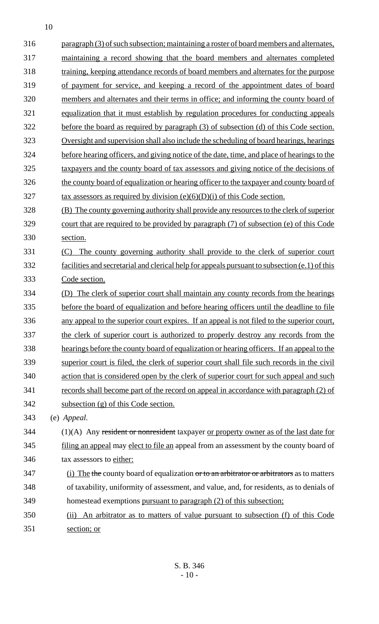| paragraph (3) of such subsection; maintaining a roster of board members and alternates,                                                           |
|---------------------------------------------------------------------------------------------------------------------------------------------------|
|                                                                                                                                                   |
| maintaining a record showing that the board members and alternates completed                                                                      |
| training, keeping attendance records of board members and alternates for the purpose                                                              |
| of payment for service, and keeping a record of the appointment dates of board                                                                    |
| members and alternates and their terms in office; and informing the county board of                                                               |
| equalization that it must establish by regulation procedures for conducting appeals                                                               |
| before the board as required by paragraph (3) of subsection (d) of this Code section.                                                             |
| Oversight and supervision shall also include the scheduling of board hearings, hearings                                                           |
| before hearing officers, and giving notice of the date, time, and place of hearings to the                                                        |
| taxpayers and the county board of tax assessors and giving notice of the decisions of                                                             |
| the county board of equalization or hearing officer to the taxpayer and county board of                                                           |
| $\frac{\text{tax} \text{assessors} \text{as required by division (e)(6)(D)(i) of this Code section.}}{(\text{day}) \text{of this Code section.}}$ |
| (B) The county governing authority shall provide any resources to the clerk of superior                                                           |
| court that are required to be provided by paragraph (7) of subsection (e) of this Code                                                            |
| section.                                                                                                                                          |
| The county governing authority shall provide to the clerk of superior court<br>(C)                                                                |
| facilities and secretarial and clerical help for appeals pursuant to subsection (e.1) of this                                                     |
| Code section.                                                                                                                                     |
| The clerk of superior court shall maintain any county records from the hearings                                                                   |
| before the board of equalization and before hearing officers until the deadline to file                                                           |
| any appeal to the superior court expires. If an appeal is not filed to the superior court,                                                        |
| the clerk of superior court is authorized to properly destroy any records from the                                                                |
| hearings before the county board of equalization or hearing officers. If an appeal to the                                                         |
| superior court is filed, the clerk of superior court shall file such records in the civil                                                         |
| action that is considered open by the clerk of superior court for such appeal and such                                                            |
| records shall become part of the record on appeal in accordance with paragraph (2) of                                                             |
| subsection (g) of this Code section.                                                                                                              |
| (e) Appeal.                                                                                                                                       |
| (1)(A) Any resident or nonresident taxpayer or property owner as of the last date for                                                             |
| filing an appeal may elect to file an appeal from an assessment by the county board of                                                            |
| tax assessors to either:                                                                                                                          |
| (i) The the county board of equalization or to an arbitrator or arbitrators as to matters                                                         |
| of taxability, uniformity of assessment, and value, and, for residents, as to denials of                                                          |
| homestead exemptions pursuant to paragraph (2) of this subsection;                                                                                |
| An arbitrator as to matters of value pursuant to subsection (f) of this Code<br>(ii)                                                              |
| section; or                                                                                                                                       |
|                                                                                                                                                   |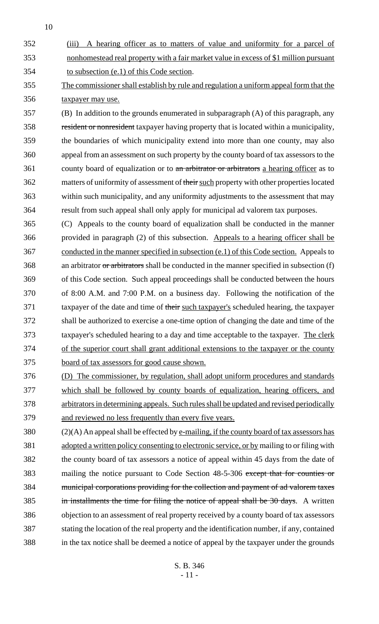- (iii) A hearing officer as to matters of value and uniformity for a parcel of nonhomestead real property with a fair market value in excess of \$1 million pursuant to subsection (e.1) of this Code section.
- The commissioner shall establish by rule and regulation a uniform appeal form that the taxpayer may use.
- (B) In addition to the grounds enumerated in subparagraph (A) of this paragraph, any resident or nonresident taxpayer having property that is located within a municipality, the boundaries of which municipality extend into more than one county, may also appeal from an assessment on such property by the county board of tax assessors to the 361 county board of equalization or to an arbitrator or arbitrators a hearing officer as to 362 matters of uniformity of assessment of their such property with other properties located within such municipality, and any uniformity adjustments to the assessment that may result from such appeal shall only apply for municipal ad valorem tax purposes.
- (C) Appeals to the county board of equalization shall be conducted in the manner provided in paragraph (2) of this subsection. Appeals to a hearing officer shall be conducted in the manner specified in subsection (e.1) of this Code section. Appeals to 368 an arbitrator or arbitrators shall be conducted in the manner specified in subsection (f) of this Code section. Such appeal proceedings shall be conducted between the hours of 8:00 A.M. and 7:00 P.M. on a business day. Following the notification of the 371 taxpayer of the date and time of their such taxpayer's scheduled hearing, the taxpayer shall be authorized to exercise a one-time option of changing the date and time of the 373 taxpayer's scheduled hearing to a day and time acceptable to the taxpayer. The clerk of the superior court shall grant additional extensions to the taxpayer or the county board of tax assessors for good cause shown.
- (D) The commissioner, by regulation, shall adopt uniform procedures and standards which shall be followed by county boards of equalization, hearing officers, and arbitrators in determining appeals. Such rules shall be updated and revised periodically and reviewed no less frequently than every five years.
- 380 (2)(A) An appeal shall be effected by e-mailing, if the county board of tax assessors has adopted a written policy consenting to electronic service, or by mailing to or filing with the county board of tax assessors a notice of appeal within 45 days from the date of mailing the notice pursuant to Code Section 48-5-306 except that for counties or municipal corporations providing for the collection and payment of ad valorem taxes 385 in installments the time for filing the notice of appeal shall be 30 days. A written objection to an assessment of real property received by a county board of tax assessors stating the location of the real property and the identification number, if any, contained in the tax notice shall be deemed a notice of appeal by the taxpayer under the grounds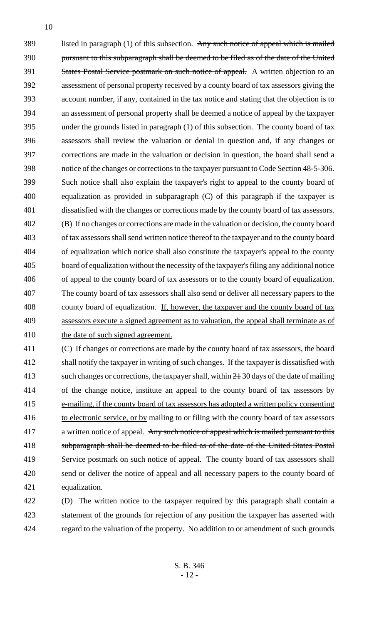389 listed in paragraph (1) of this subsection. Any such notice of appeal which is mailed pursuant to this subparagraph shall be deemed to be filed as of the date of the United 391 States Postal Service postmark on such notice of appeal. A written objection to an assessment of personal property received by a county board of tax assessors giving the account number, if any, contained in the tax notice and stating that the objection is to an assessment of personal property shall be deemed a notice of appeal by the taxpayer under the grounds listed in paragraph (1) of this subsection. The county board of tax assessors shall review the valuation or denial in question and, if any changes or corrections are made in the valuation or decision in question, the board shall send a notice of the changes or corrections to the taxpayer pursuant to Code Section 48-5-306. Such notice shall also explain the taxpayer's right to appeal to the county board of equalization as provided in subparagraph (C) of this paragraph if the taxpayer is dissatisfied with the changes or corrections made by the county board of tax assessors. (B) If no changes or corrections are made in the valuation or decision, the county board of tax assessors shall send written notice thereof to the taxpayer and to the county board of equalization which notice shall also constitute the taxpayer's appeal to the county board of equalization without the necessity of the taxpayer's filing any additional notice of appeal to the county board of tax assessors or to the county board of equalization. The county board of tax assessors shall also send or deliver all necessary papers to the 408 county board of equalization. If, however, the taxpayer and the county board of tax assessors execute a signed agreement as to valuation, the appeal shall terminate as of 410 the date of such signed agreement.

 (C) If changes or corrections are made by the county board of tax assessors, the board shall notify the taxpayer in writing of such changes. If the taxpayer is dissatisfied with 413 such changes or corrections, the taxpayer shall, within  $2\frac{1}{20}$  days of the date of mailing of the change notice, institute an appeal to the county board of tax assessors by e-mailing, if the county board of tax assessors has adopted a written policy consenting 416 to electronic service, or by mailing to or filing with the county board of tax assessors 417 a written notice of appeal. Any such notice of appeal which is mailed pursuant to this subparagraph shall be deemed to be filed as of the date of the United States Postal 419 Service postmark on such notice of appeal. The county board of tax assessors shall send or deliver the notice of appeal and all necessary papers to the county board of equalization.

 (D) The written notice to the taxpayer required by this paragraph shall contain a statement of the grounds for rejection of any position the taxpayer has asserted with regard to the valuation of the property. No addition to or amendment of such grounds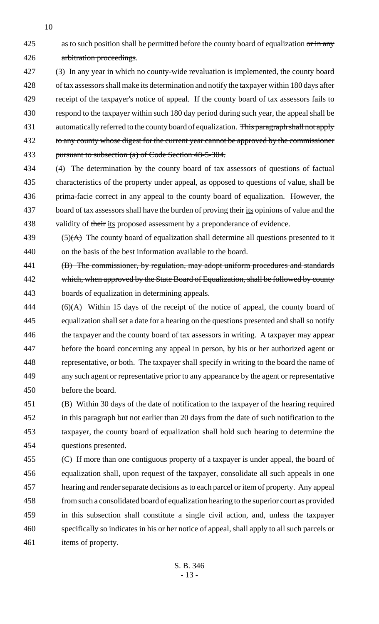425 as to such position shall be permitted before the county board of equalization or in any arbitration proceedings.

- (3) In any year in which no county-wide revaluation is implemented, the county board of tax assessors shall make its determination and notify the taxpayer within 180 days after receipt of the taxpayer's notice of appeal. If the county board of tax assessors fails to respond to the taxpayer within such 180 day period during such year, the appeal shall be 431 automatically referred to the county board of equalization. This paragraph shall not apply 432 to any county whose digest for the current year cannot be approved by the commissioner pursuant to subsection (a) of Code Section 48-5-304.
- (4) The determination by the county board of tax assessors of questions of factual characteristics of the property under appeal, as opposed to questions of value, shall be prima-facie correct in any appeal to the county board of equalization. However, the 437 board of tax assessors shall have the burden of proving their its opinions of value and the 438 validity of their its proposed assessment by a preponderance of evidence.
- 439  $(5)(A)$  The county board of equalization shall determine all questions presented to it on the basis of the best information available to the board.
- 441 (B) The commissioner, by regulation, may adopt uniform procedures and standards which, when approved by the State Board of Equalization, shall be followed by county boards of equalization in determining appeals.
- (6)(A) Within 15 days of the receipt of the notice of appeal, the county board of equalization shall set a date for a hearing on the questions presented and shall so notify the taxpayer and the county board of tax assessors in writing. A taxpayer may appear before the board concerning any appeal in person, by his or her authorized agent or representative, or both. The taxpayer shall specify in writing to the board the name of any such agent or representative prior to any appearance by the agent or representative before the board.
- (B) Within 30 days of the date of notification to the taxpayer of the hearing required in this paragraph but not earlier than 20 days from the date of such notification to the taxpayer, the county board of equalization shall hold such hearing to determine the questions presented.
- (C) If more than one contiguous property of a taxpayer is under appeal, the board of equalization shall, upon request of the taxpayer, consolidate all such appeals in one hearing and render separate decisions as to each parcel or item of property. Any appeal from such a consolidated board of equalization hearing to the superior court as provided in this subsection shall constitute a single civil action, and, unless the taxpayer specifically so indicates in his or her notice of appeal, shall apply to all such parcels or items of property.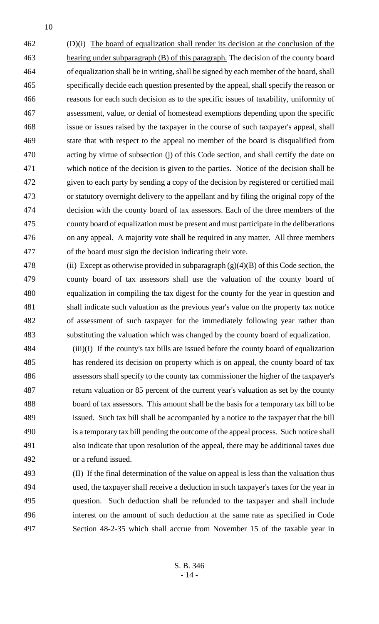(D)(i) The board of equalization shall render its decision at the conclusion of the hearing under subparagraph (B) of this paragraph. The decision of the county board of equalization shall be in writing, shall be signed by each member of the board, shall specifically decide each question presented by the appeal, shall specify the reason or reasons for each such decision as to the specific issues of taxability, uniformity of assessment, value, or denial of homestead exemptions depending upon the specific issue or issues raised by the taxpayer in the course of such taxpayer's appeal, shall state that with respect to the appeal no member of the board is disqualified from acting by virtue of subsection (j) of this Code section, and shall certify the date on which notice of the decision is given to the parties. Notice of the decision shall be given to each party by sending a copy of the decision by registered or certified mail or statutory overnight delivery to the appellant and by filing the original copy of the decision with the county board of tax assessors. Each of the three members of the county board of equalization must be present and must participate in the deliberations on any appeal. A majority vote shall be required in any matter. All three members of the board must sign the decision indicating their vote.

478 (ii) Except as otherwise provided in subparagraph  $(g)(4)(B)$  of this Code section, the county board of tax assessors shall use the valuation of the county board of equalization in compiling the tax digest for the county for the year in question and shall indicate such valuation as the previous year's value on the property tax notice of assessment of such taxpayer for the immediately following year rather than substituting the valuation which was changed by the county board of equalization.

- (iii)(I) If the county's tax bills are issued before the county board of equalization has rendered its decision on property which is on appeal, the county board of tax assessors shall specify to the county tax commissioner the higher of the taxpayer's return valuation or 85 percent of the current year's valuation as set by the county board of tax assessors. This amount shall be the basis for a temporary tax bill to be issued. Such tax bill shall be accompanied by a notice to the taxpayer that the bill is a temporary tax bill pending the outcome of the appeal process. Such notice shall also indicate that upon resolution of the appeal, there may be additional taxes due or a refund issued.
- (II) If the final determination of the value on appeal is less than the valuation thus used, the taxpayer shall receive a deduction in such taxpayer's taxes for the year in question. Such deduction shall be refunded to the taxpayer and shall include interest on the amount of such deduction at the same rate as specified in Code Section 48-2-35 which shall accrue from November 15 of the taxable year in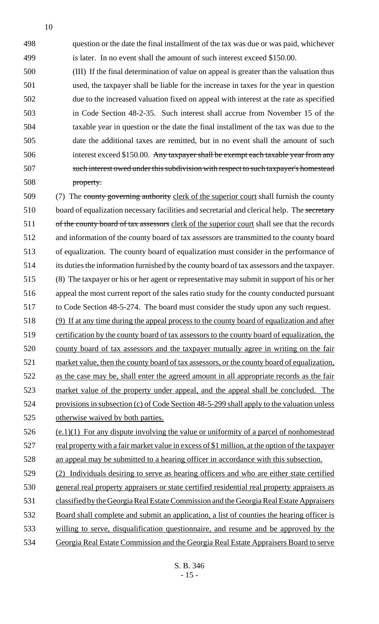question or the date the final installment of the tax was due or was paid, whichever 499 is later. In no event shall the amount of such interest exceed \$150.00.

 (III) If the final determination of value on appeal is greater than the valuation thus used, the taxpayer shall be liable for the increase in taxes for the year in question due to the increased valuation fixed on appeal with interest at the rate as specified in Code Section 48-2-35. Such interest shall accrue from November 15 of the taxable year in question or the date the final installment of the tax was due to the date the additional taxes are remitted, but in no event shall the amount of such interest exceed \$150.00. Any taxpayer shall be exempt each taxable year from any such interest owed under this subdivision with respect to such taxpayer's homestead property.

509 (7) The county governing authority clerk of the superior court shall furnish the county 510 board of equalization necessary facilities and secretarial and clerical help. The secretary 511 of the county board of tax assessors clerk of the superior court shall see that the records and information of the county board of tax assessors are transmitted to the county board of equalization. The county board of equalization must consider in the performance of its duties the information furnished by the county board of tax assessors and the taxpayer. (8) The taxpayer or his or her agent or representative may submit in support of his or her appeal the most current report of the sales ratio study for the county conducted pursuant to Code Section 48-5-274. The board must consider the study upon any such request.

 (9) If at any time during the appeal process to the county board of equalization and after certification by the county board of tax assessors to the county board of equalization, the county board of tax assessors and the taxpayer mutually agree in writing on the fair market value, then the county board of tax assessors, or the county board of equalization, as the case may be, shall enter the agreed amount in all appropriate records as the fair market value of the property under appeal, and the appeal shall be concluded. The provisions in subsection (c) of Code Section 48-5-299 shall apply to the valuation unless otherwise waived by both parties.

 (e.1)(1) For any dispute involving the value or uniformity of a parcel of nonhomestead real property with a fair market value in excess of \$1 million, at the option of the taxpayer an appeal may be submitted to a hearing officer in accordance with this subsection.

 (2) Individuals desiring to serve as hearing officers and who are either state certified general real property appraisers or state certified residential real property appraisers as classified by the Georgia Real Estate Commission and the Georgia Real Estate Appraisers Board shall complete and submit an application, a list of counties the hearing officer is willing to serve, disqualification questionnaire, and resume and be approved by the Georgia Real Estate Commission and the Georgia Real Estate Appraisers Board to serve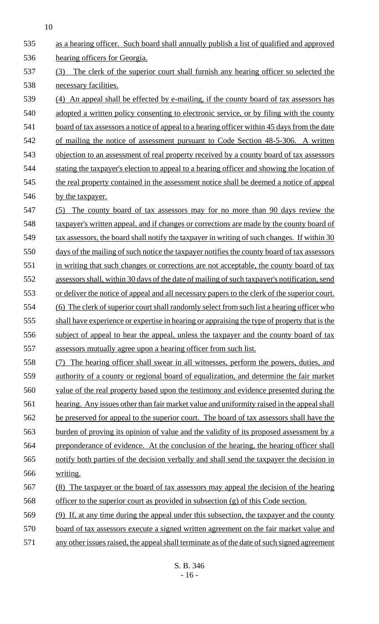as a hearing officer. Such board shall annually publish a list of qualified and approved hearing officers for Georgia. (3) The clerk of the superior court shall furnish any hearing officer so selected the necessary facilities. (4) An appeal shall be effected by e-mailing, if the county board of tax assessors has adopted a written policy consenting to electronic service, or by filing with the county 541 board of tax assessors a notice of appeal to a hearing officer within 45 days from the date of mailing the notice of assessment pursuant to Code Section 48-5-306. A written objection to an assessment of real property received by a county board of tax assessors 544 stating the taxpayer's election to appeal to a hearing officer and showing the location of 545 the real property contained in the assessment notice shall be deemed a notice of appeal 546 by the taxpayer. (5) The county board of tax assessors may for no more than 90 days review the 548 taxpayer's written appeal, and if changes or corrections are made by the county board of 549 tax assessors, the board shall notify the taxpayer in writing of such changes. If within 30 days of the mailing of such notice the taxpayer notifies the county board of tax assessors 551 in writing that such changes or corrections are not acceptable, the county board of tax assessors shall, within 30 days of the date of mailing of such taxpayer's notification, send or deliver the notice of appeal and all necessary papers to the clerk of the superior court. (6) The clerk of superior court shall randomly select from such list a hearing officer who 555 shall have experience or expertise in hearing or appraising the type of property that is the subject of appeal to hear the appeal, unless the taxpayer and the county board of tax assessors mutually agree upon a hearing officer from such list. (7) The hearing officer shall swear in all witnesses, perform the powers, duties, and authority of a county or regional board of equalization, and determine the fair market value of the real property based upon the testimony and evidence presented during the 561 hearing. Any issues other than fair market value and uniformity raised in the appeal shall 562 be preserved for appeal to the superior court. The board of tax assessors shall have the burden of proving its opinion of value and the validity of its proposed assessment by a preponderance of evidence. At the conclusion of the hearing, the hearing officer shall notify both parties of the decision verbally and shall send the taxpayer the decision in writing. (8) The taxpayer or the board of tax assessors may appeal the decision of the hearing officer to the superior court as provided in subsection (g) of this Code section. (9) If, at any time during the appeal under this subsection, the taxpayer and the county board of tax assessors execute a signed written agreement on the fair market value and any other issues raised, the appeal shall terminate as of the date of such signed agreement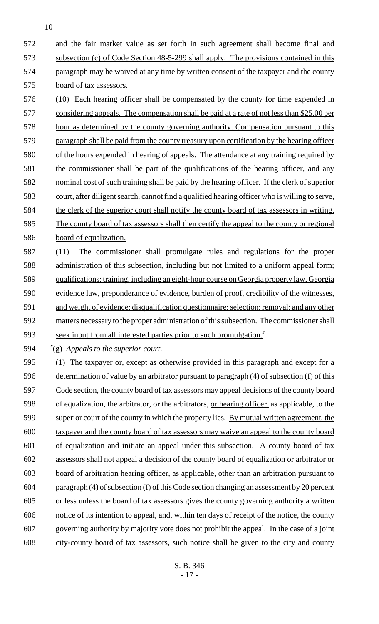and the fair market value as set forth in such agreement shall become final and subsection (c) of Code Section 48-5-299 shall apply. The provisions contained in this paragraph may be waived at any time by written consent of the taxpayer and the county board of tax assessors.

 (10) Each hearing officer shall be compensated by the county for time expended in 577 considering appeals. The compensation shall be paid at a rate of not less than \$25.00 per hour as determined by the county governing authority. Compensation pursuant to this paragraph shall be paid from the county treasury upon certification by the hearing officer of the hours expended in hearing of appeals. The attendance at any training required by 581 the commissioner shall be part of the qualifications of the hearing officer, and any nominal cost of such training shall be paid by the hearing officer. If the clerk of superior court, after diligent search, cannot find a qualified hearing officer who is willing to serve, 584 the clerk of the superior court shall notify the county board of tax assessors in writing. The county board of tax assessors shall then certify the appeal to the county or regional board of equalization.

 (11) The commissioner shall promulgate rules and regulations for the proper administration of this subsection, including but not limited to a uniform appeal form; qualifications; training, including an eight-hour course on Georgia property law, Georgia evidence law, preponderance of evidence, burden of proof, credibility of the witnesses, and weight of evidence; disqualification questionnaire; selection; removal; and any other 592 matters necessary to the proper administration of this subsection. The commissioner shall seek input from all interested parties prior to such promulgation."

"(g) *Appeals to the superior court.*

595 (1) The taxpayer or, except as otherwise provided in this paragraph and except for a determination of value by an arbitrator pursuant to paragraph (4) of subsection (f) of this 597 <del>Code section,</del> the county board of tax assessors may appeal decisions of the county board 598 of equalization<del>, the arbitrator, or the arbitrators,</del> or hearing officer, as applicable, to the 599 superior court of the county in which the property lies. By mutual written agreement, the taxpayer and the county board of tax assessors may waive an appeal to the county board of equalization and initiate an appeal under this subsection. A county board of tax assessors shall not appeal a decision of the county board of equalization or arbitrator or 603 board of arbitration hearing officer, as applicable, other than an arbitration pursuant to 604 paragraph (4) of subsection (f) of this Code section changing an assessment by 20 percent or less unless the board of tax assessors gives the county governing authority a written notice of its intention to appeal, and, within ten days of receipt of the notice, the county governing authority by majority vote does not prohibit the appeal. In the case of a joint city-county board of tax assessors, such notice shall be given to the city and county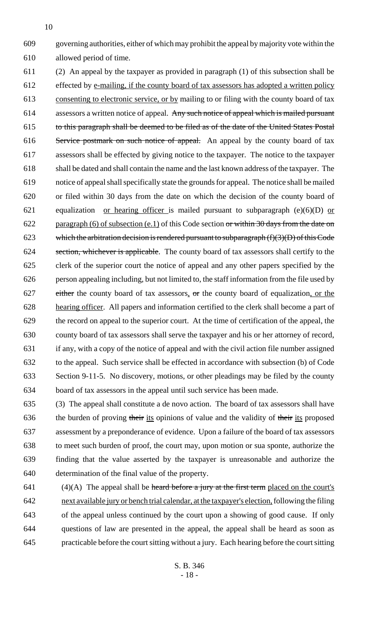governing authorities, either of which may prohibit the appeal by majority vote within the allowed period of time.

 (2) An appeal by the taxpayer as provided in paragraph (1) of this subsection shall be 612 effected by <u>e-mailing, if the county board of tax assessors has adopted a written policy</u> consenting to electronic service, or by mailing to or filing with the county board of tax assessors a written notice of appeal. Any such notice of appeal which is mailed pursuant to this paragraph shall be deemed to be filed as of the date of the United States Postal 616 Service postmark on such notice of appeal. An appeal by the county board of tax assessors shall be effected by giving notice to the taxpayer. The notice to the taxpayer shall be dated and shall contain the name and the last known address of the taxpayer. The notice of appeal shall specifically state the grounds for appeal. The notice shall be mailed or filed within 30 days from the date on which the decision of the county board of 621 equalization <u>or hearing officer</u> is mailed pursuant to subparagraph (e)(6)(D) or 622 paragraph (6) of subsection (e.1) of this Code section or within 30 days from the date on 623 which the arbitration decision is rendered pursuant to subparagraph  $(f)(3)(D)$  of this Code 624 section, whichever is applicable. The county board of tax assessors shall certify to the clerk of the superior court the notice of appeal and any other papers specified by the person appealing including, but not limited to, the staff information from the file used by 627 either the county board of tax assessors, or the county board of equalization, or the hearing officer. All papers and information certified to the clerk shall become a part of the record on appeal to the superior court. At the time of certification of the appeal, the county board of tax assessors shall serve the taxpayer and his or her attorney of record, if any, with a copy of the notice of appeal and with the civil action file number assigned to the appeal. Such service shall be effected in accordance with subsection (b) of Code Section 9-11-5. No discovery, motions, or other pleadings may be filed by the county board of tax assessors in the appeal until such service has been made.

 (3) The appeal shall constitute a de novo action. The board of tax assessors shall have 636 the burden of proving their its opinions of value and the validity of their its proposed assessment by a preponderance of evidence. Upon a failure of the board of tax assessors to meet such burden of proof, the court may, upon motion or sua sponte, authorize the finding that the value asserted by the taxpayer is unreasonable and authorize the determination of the final value of the property.

 $(4)(A)$  The appeal shall be heard before a jury at the first term placed on the court's next available jury or bench trial calendar, at the taxpayer's election, following the filing of the appeal unless continued by the court upon a showing of good cause. If only questions of law are presented in the appeal, the appeal shall be heard as soon as practicable before the court sitting without a jury. Each hearing before the court sitting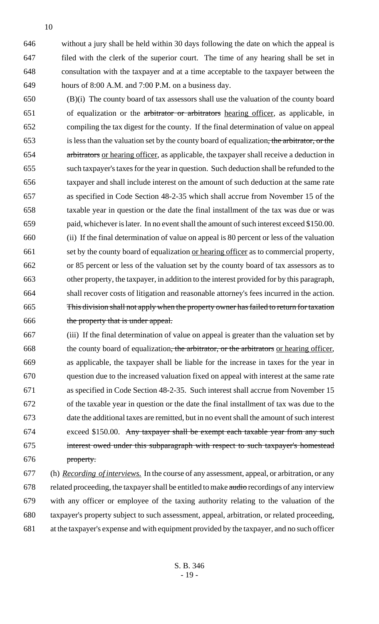without a jury shall be held within 30 days following the date on which the appeal is filed with the clerk of the superior court. The time of any hearing shall be set in consultation with the taxpayer and at a time acceptable to the taxpayer between the hours of 8:00 A.M. and 7:00 P.M. on a business day.

- (B)(i) The county board of tax assessors shall use the valuation of the county board of equalization or the arbitrator or arbitrators hearing officer, as applicable, in compiling the tax digest for the county. If the final determination of value on appeal is less than the valuation set by the county board of equalization, the arbitrator, or the arbitrators or hearing officer, as applicable, the taxpayer shall receive a deduction in such taxpayer's taxes for the year in question. Such deduction shall be refunded to the taxpayer and shall include interest on the amount of such deduction at the same rate as specified in Code Section 48-2-35 which shall accrue from November 15 of the taxable year in question or the date the final installment of the tax was due or was paid, whichever is later. In no event shall the amount of such interest exceed \$150.00. (ii) If the final determination of value on appeal is 80 percent or less of the valuation set by the county board of equalization or hearing officer as to commercial property, or 85 percent or less of the valuation set by the county board of tax assessors as to other property, the taxpayer, in addition to the interest provided for by this paragraph, shall recover costs of litigation and reasonable attorney's fees incurred in the action. This division shall not apply when the property owner has failed to return for taxation 666 the property that is under appeal.
- (iii) If the final determination of value on appeal is greater than the valuation set by 668 the county board of equalization<del>, the arbitrator, or the arbitrators</del> or hearing officer, as applicable, the taxpayer shall be liable for the increase in taxes for the year in question due to the increased valuation fixed on appeal with interest at the same rate as specified in Code Section 48-2-35. Such interest shall accrue from November 15 of the taxable year in question or the date the final installment of tax was due to the date the additional taxes are remitted, but in no event shall the amount of such interest exceed \$150.00. Any taxpayer shall be exempt each taxable year from any such interest owed under this subparagraph with respect to such taxpayer's homestead property.
- (h) *Recording of interviews.* In the course of any assessment, appeal, or arbitration, or any 678 related proceeding, the taxpayer shall be entitled to make audio recordings of any interview with any officer or employee of the taxing authority relating to the valuation of the taxpayer's property subject to such assessment, appeal, arbitration, or related proceeding, at the taxpayer's expense and with equipment provided by the taxpayer, and no such officer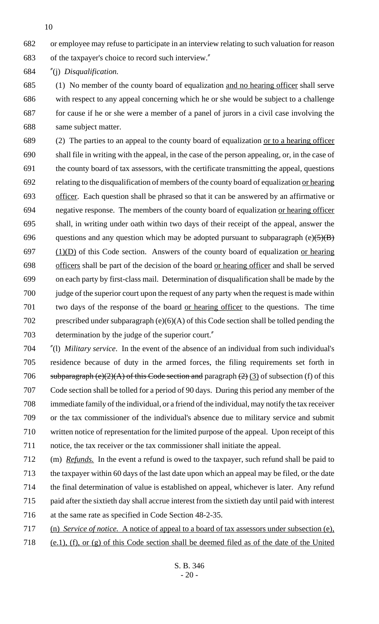or employee may refuse to participate in an interview relating to such valuation for reason

of the taxpayer's choice to record such interview."

"(j) *Disqualification.*

 (1) No member of the county board of equalization and no hearing officer shall serve with respect to any appeal concerning which he or she would be subject to a challenge for cause if he or she were a member of a panel of jurors in a civil case involving the same subject matter.

 (2) The parties to an appeal to the county board of equalization or to a hearing officer shall file in writing with the appeal, in the case of the person appealing, or, in the case of the county board of tax assessors, with the certificate transmitting the appeal, questions relating to the disqualification of members of the county board of equalization or hearing officer. Each question shall be phrased so that it can be answered by an affirmative or negative response. The members of the county board of equalization or hearing officer shall, in writing under oath within two days of their receipt of the appeal, answer the 696 questions and any question which may be adopted pursuant to subparagraph (e) $\left(5\right)(B)$  (1)(D) of this Code section. Answers of the county board of equalization or hearing officers shall be part of the decision of the board or hearing officer and shall be served on each party by first-class mail. Determination of disqualification shall be made by the judge of the superior court upon the request of any party when the request is made within two days of the response of the board or hearing officer to the questions. The time 702 prescribed under subparagraph (e)(6)(A) of this Code section shall be tolled pending the determination by the judge of the superior court."

 "(l) *Military service*. In the event of the absence of an individual from such individual's residence because of duty in the armed forces, the filing requirements set forth in 706 subparagraph (e)(2)(A) of this Code section and paragraph (2) (3) of subsection (f) of this Code section shall be tolled for a period of 90 days. During this period any member of the immediate family of the individual, or a friend of the individual, may notify the tax receiver or the tax commissioner of the individual's absence due to military service and submit written notice of representation for the limited purpose of the appeal. Upon receipt of this notice, the tax receiver or the tax commissioner shall initiate the appeal.

 (m) *Refunds.* In the event a refund is owed to the taxpayer, such refund shall be paid to the taxpayer within 60 days of the last date upon which an appeal may be filed, or the date the final determination of value is established on appeal, whichever is later. Any refund paid after the sixtieth day shall accrue interest from the sixtieth day until paid with interest at the same rate as specified in Code Section 48-2-35.

- (n) *Service of notice.* A notice of appeal to a board of tax assessors under subsection (e),
- (e.1), (f), or (g) of this Code section shall be deemed filed as of the date of the United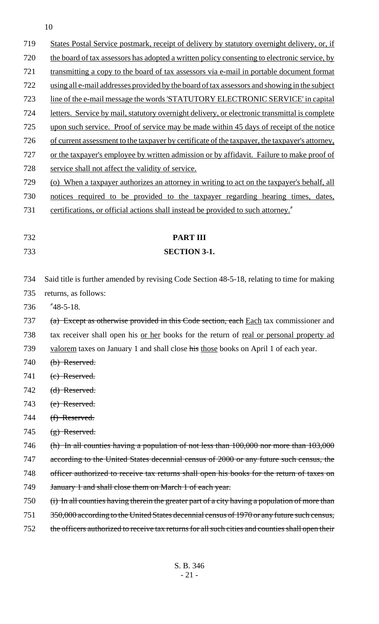| 719        | States Postal Service postmark, receipt of delivery by statutory overnight delivery, or, if                                                                                                    |
|------------|------------------------------------------------------------------------------------------------------------------------------------------------------------------------------------------------|
| 720        | the board of tax assessors has adopted a written policy consenting to electronic service, by                                                                                                   |
| 721        | transmitting a copy to the board of tax assessors via e-mail in portable document format                                                                                                       |
| 722        | using all e-mail addresses provided by the board of tax assessors and showing in the subject                                                                                                   |
| 723        | line of the e-mail message the words 'STATUTORY ELECTRONIC SERVICE' in capital                                                                                                                 |
| 724        | letters. Service by mail, statutory overnight delivery, or electronic transmittal is complete                                                                                                  |
| 725        | upon such service. Proof of service may be made within 45 days of receipt of the notice                                                                                                        |
| 726        | of current assessment to the taxpayer by certificate of the taxpayer, the taxpayer's attorney,                                                                                                 |
| 727        | or the taxpayer's employee by written admission or by affidavit. Failure to make proof of                                                                                                      |
| 728        | service shall not affect the validity of service.                                                                                                                                              |
| 729        | (o) When a taxpayer authorizes an attorney in writing to act on the taxpayer's behalf, all                                                                                                     |
| 730        | notices required to be provided to the taxpayer regarding hearing times, dates,                                                                                                                |
| 731        | certifications, or official actions shall instead be provided to such attorney."                                                                                                               |
|            |                                                                                                                                                                                                |
| 732        | <b>PART III</b>                                                                                                                                                                                |
| 733        | <b>SECTION 3-1.</b>                                                                                                                                                                            |
|            |                                                                                                                                                                                                |
| 734        | Said title is further amended by revising Code Section 48-5-18, relating to time for making                                                                                                    |
| 735        | returns, as follows:                                                                                                                                                                           |
| 736        | $"48-5-18.$                                                                                                                                                                                    |
| 737        | (a) Except as otherwise provided in this Code section, each Each tax commissioner and                                                                                                          |
| 738        | tax receiver shall open his <u>or her</u> books for the return of <u>real or personal property ad</u>                                                                                          |
| 739        | valorem taxes on January 1 and shall close his those books on April 1 of each year.                                                                                                            |
| 740        | (b) Reserved.                                                                                                                                                                                  |
| 741        | (c) Reserved.                                                                                                                                                                                  |
| 742        | (d) Reserved.                                                                                                                                                                                  |
| 743        | (e) Reserved.                                                                                                                                                                                  |
| 744        | (f) Reserved.                                                                                                                                                                                  |
| 745        | $(g)$ Reserved.                                                                                                                                                                                |
| 746        | (h) In all counties having a population of not less than $100,000$ nor more than $103,000$                                                                                                     |
| 747        | according to the United States decennial census of 2000 or any future such census, the                                                                                                         |
| 748        |                                                                                                                                                                                                |
| 749        | officer authorized to receive tax returns shall open his books for the return of taxes on                                                                                                      |
|            | January 1 and shall close them on March 1 of each year.                                                                                                                                        |
| 750        | (i) In all counties having therein the greater part of a city having a population of more than                                                                                                 |
| 751<br>752 | 350,000 according to the United States decennial census of 1970 or any future such census,<br>the officers authorized to receive tax returns for all such cities and counties shall open their |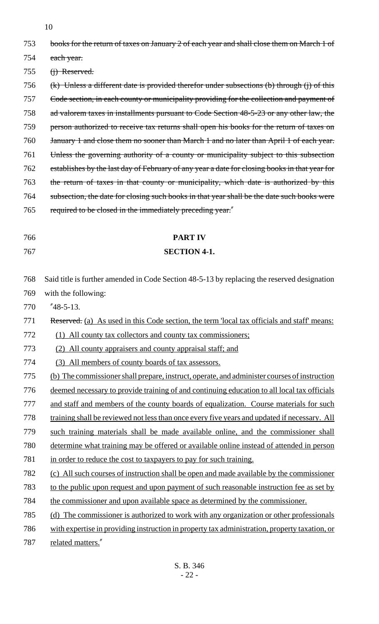| 753 | books for the return of taxes on January 2 of each year and shall close them on March 1 of    |
|-----|-----------------------------------------------------------------------------------------------|
| 754 | each year.                                                                                    |
| 755 | $(i)$ Reserved.                                                                               |
| 756 | $(k)$ Unless a different date is provided therefor under subsections (b) through (j) of this  |
| 757 | Code section, in each county or municipality providing for the collection and payment of      |
| 758 | ad valorem taxes in installments pursuant to Code Section 48-5-23 or any other law, the       |
| 759 | person authorized to receive tax returns shall open his books for the return of taxes on      |
| 760 | January 1 and close them no sooner than March 1 and no later than April 1 of each year.       |
| 761 | Unless the governing authority of a county or municipality subject to this subsection         |
| 762 | establishes by the last day of February of any year a date for closing books in that year for |
| 763 | the return of taxes in that county or municipality, which date is authorized by this          |
| 764 | subsection, the date for closing such books in that year shall be the date such books were    |
| 765 | required to be closed in the immediately preceding year."                                     |
|     |                                                                                               |
| 766 | <b>PART IV</b>                                                                                |
| 767 | <b>SECTION 4-1.</b>                                                                           |
|     |                                                                                               |
| 768 | Said title is further amended in Code Section 48-5-13 by replacing the reserved designation   |
| 769 | with the following:                                                                           |
| 770 | $"48-5-13.$                                                                                   |
| 771 | Reserved. (a) As used in this Code section, the term 'local tax officials and staff' means:   |
| 772 | (1) All county tax collectors and county tax commissioners;                                   |
| 773 | (2) All county appraisers and county appraisal staff; and                                     |
| 774 | (3) All members of county boards of tax assessors.                                            |
| 775 | (b) The commissioner shall prepare, instruct, operate, and administer courses of instruction  |
| 776 | deemed necessary to provide training of and continuing education to all local tax officials   |
| 777 | and staff and members of the county boards of equalization. Course materials for such         |
| 778 | training shall be reviewed not less than once every five years and updated if necessary. All  |
| 779 | such training materials shall be made available online, and the commissioner shall            |
| 780 | determine what training may be offered or available online instead of attended in person      |
| 781 | in order to reduce the cost to taxpayers to pay for such training.                            |
| 782 | (c) All such courses of instruction shall be open and made available by the commissioner      |
| 783 | to the public upon request and upon payment of such reasonable instruction fee as set by      |
| 784 | the commissioner and upon available space as determined by the commissioner.                  |
| 785 | (d) The commissioner is authorized to work with any organization or other professionals       |
| 786 | with expertise in providing instruction in property tax administration, property taxation, or |
| 787 | related matters."                                                                             |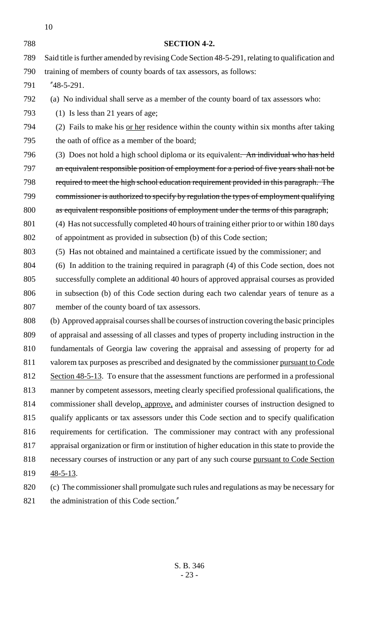| 788 | <b>SECTION 4-2.</b>                                                                            |
|-----|------------------------------------------------------------------------------------------------|
| 789 | Said title is further amended by revising Code Section 48-5-291, relating to qualification and |
| 790 | training of members of county boards of tax assessors, as follows:                             |
| 791 | $"48-5-291.$                                                                                   |
| 792 | (a) No individual shall serve as a member of the county board of tax assessors who:            |
| 793 | $(1)$ Is less than 21 years of age;                                                            |
| 794 | (2) Fails to make his or her residence within the county within six months after taking        |
| 795 | the oath of office as a member of the board;                                                   |
| 796 | (3) Does not hold a high school diploma or its equivalent. An individual who has held          |
| 797 | an equivalent responsible position of employment for a period of five years shall not be       |
| 798 | required to meet the high school education requirement provided in this paragraph. The         |
| 799 | commissioner is authorized to specify by regulation the types of employment qualifying         |
| 800 | as equivalent responsible positions of employment under the terms of this paragraph;           |
| 801 | (4) Has not successfully completed 40 hours of training either prior to or within 180 days     |
| 802 | of appointment as provided in subsection (b) of this Code section;                             |
| 803 | (5) Has not obtained and maintained a certificate issued by the commissioner; and              |
| 804 | (6) In addition to the training required in paragraph (4) of this Code section, does not       |
| 805 | successfully complete an additional 40 hours of approved appraisal courses as provided         |
| 806 | in subsection (b) of this Code section during each two calendar years of tenure as a           |
| 807 | member of the county board of tax assessors.                                                   |
| 808 | (b) Approved appraisal courses shall be courses of instruction covering the basic principles   |
| 809 | of appraisal and assessing of all classes and types of property including instruction in the   |
| 810 | fundamentals of Georgia law covering the appraisal and assessing of property for ad            |
| 811 | valorem tax purposes as prescribed and designated by the commissioner pursuant to Code         |
| 812 | Section 48-5-13. To ensure that the assessment functions are performed in a professional       |
| 813 | manner by competent assessors, meeting clearly specified professional qualifications, the      |
| 814 | commissioner shall develop, approve, and administer courses of instruction designed to         |
| 815 | qualify applicants or tax assessors under this Code section and to specify qualification       |
| 816 | requirements for certification. The commissioner may contract with any professional            |
| 817 | appraisal organization or firm or institution of higher education in this state to provide the |
| 818 | necessary courses of instruction or any part of any such course pursuant to Code Section       |
| 819 | $48 - 5 - 13$ .                                                                                |
| 820 | (a) The commissioner shall promulgate such rules and requisions as may be necessary for        |

 (c) The commissioner shall promulgate such rules and regulations as may be necessary for 821 the administration of this Code section."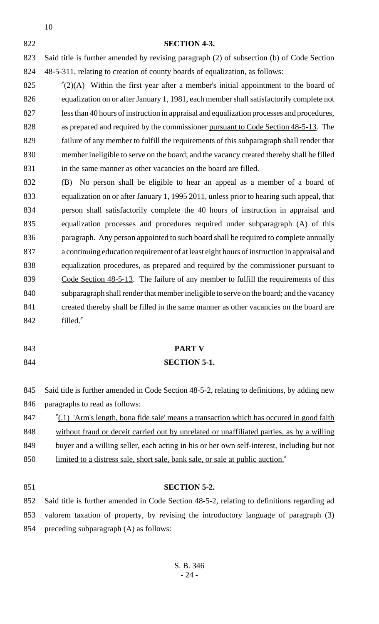#### **SECTION 4-3.**

 Said title is further amended by revising paragraph (2) of subsection (b) of Code Section 48-5-311, relating to creation of county boards of equalization, as follows:

 $\frac{1}{2}(2)(A)$  Within the first year after a member's initial appointment to the board of equalization on or after January 1, 1981, each member shall satisfactorily complete not less than 40 hours of instruction in appraisal and equalization processes and procedures, as prepared and required by the commissioner pursuant to Code Section 48-5-13. The failure of any member to fulfill the requirements of this subparagraph shall render that member ineligible to serve on the board; and the vacancy created thereby shall be filled in the same manner as other vacancies on the board are filled.

 (B) No person shall be eligible to hear an appeal as a member of a board of 833 equalization on or after January 1, 1995 2011, unless prior to hearing such appeal, that person shall satisfactorily complete the 40 hours of instruction in appraisal and equalization processes and procedures required under subparagraph (A) of this paragraph. Any person appointed to such board shall be required to complete annually a continuing education requirement of at least eight hours of instruction in appraisal and equalization procedures, as prepared and required by the commissioner pursuant to 839 Code Section 48-5-13. The failure of any member to fulfill the requirements of this subparagraph shall render that member ineligible to serve on the board; and the vacancy created thereby shall be filled in the same manner as other vacancies on the board are filled."

## **PART V SECTION 5-1.**

# Said title is further amended in Code Section 48-5-2, relating to definitions, by adding new

paragraphs to read as follows:

- "(.1) 'Arm's length, bona fide sale' means a transaction which has occured in good faith without fraud or deceit carried out by unrelated or unaffiliated parties, as by a willing
- buyer and a willing seller, each acting in his or her own self-interest, including but not
- limited to a distress sale, short sale, bank sale, or sale at public auction."
- 

### **SECTION 5-2.**

 Said title is further amended in Code Section 48-5-2, relating to definitions regarding ad valorem taxation of property, by revising the introductory language of paragraph (3) preceding subparagraph (A) as follows: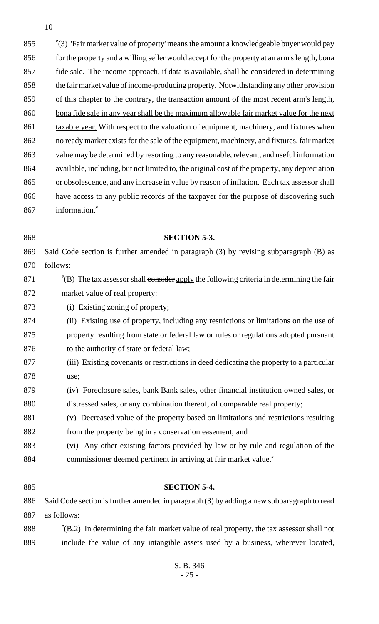"(3) 'Fair market value of property' means the amount a knowledgeable buyer would pay 856 for the property and a willing seller would accept for the property at an arm's length, bona 857 fide sale. The income approach, if data is available, shall be considered in determining 858 the fair market value of income-producing property. Notwithstanding any other provision of this chapter to the contrary, the transaction amount of the most recent arm's length, 860 bona fide sale in any year shall be the maximum allowable fair market value for the next 861 taxable year. With respect to the valuation of equipment, machinery, and fixtures when no ready market exists for the sale of the equipment, machinery, and fixtures, fair market value may be determined by resorting to any reasonable, relevant, and useful information available, including, but not limited to, the original cost of the property, any depreciation or obsolescence, and any increase in value by reason of inflation. Each tax assessor shall have access to any public records of the taxpayer for the purpose of discovering such information."

### **SECTION 5-3.**

 Said Code section is further amended in paragraph (3) by revising subparagraph (B) as follows:

- 871  $\blacksquare$  (B) The tax assessor shall consider apply the following criteria in determining the fair market value of real property:
- 873 (i) Existing zoning of property;
- (ii) Existing use of property, including any restrictions or limitations on the use of property resulting from state or federal law or rules or regulations adopted pursuant 876 to the authority of state or federal law;
- (iii) Existing covenants or restrictions in deed dedicating the property to a particular use;
- (iv) Foreclosure sales, bank Bank sales, other financial institution owned sales, or distressed sales, or any combination thereof, of comparable real property;
- (v) Decreased value of the property based on limitations and restrictions resulting 882 from the property being in a conservation easement; and
- (vi) Any other existing factors provided by law or by rule and regulation of the commissioner deemed pertinent in arriving at fair market value."

 **SECTION 5-4.** Said Code section is further amended in paragraph (3) by adding a new subparagraph to read as follows: "(B.2) In determining the fair market value of real property, the tax assessor shall not include the value of any intangible assets used by a business, wherever located,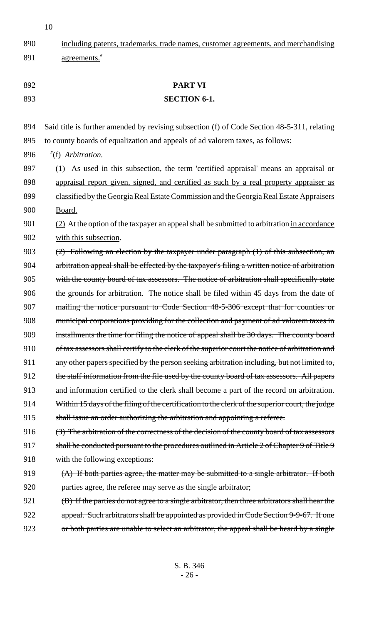890 including patents, trademarks, trade names, customer agreements, and merchandising 891 agreements." 892 **PART VI** 893 **SECTION 6-1.** 894 Said title is further amended by revising subsection (f) of Code Section 48-5-311, relating 895 to county boards of equalization and appeals of ad valorem taxes, as follows: 896 "(f) *Arbitration.* 897 (1) As used in this subsection, the term 'certified appraisal' means an appraisal or 898 appraisal report given, signed, and certified as such by a real property appraiser as 899 classified by the Georgia Real Estate Commission and the Georgia Real Estate Appraisers 900 Board. 901 (2) At the option of the taxpayer an appeal shall be submitted to arbitration in accordance 902 with this subsection. 903 (2) Following an election by the taxpayer under paragraph (1) of this subsection, an 904 arbitration appeal shall be effected by the taxpayer's filing a written notice of arbitration 905 with the county board of tax assessors. The notice of arbitration shall specifically state 906 the grounds for arbitration. The notice shall be filed within 45 days from the date of 907 mailing the notice pursuant to Code Section 48-5-306 except that for counties or 908 municipal corporations providing for the collection and payment of ad valorem taxes in 909 installments the time for filing the notice of appeal shall be 30 days. The county board 910 of tax assessors shall certify to the clerk of the superior court the notice of arbitration and 911 any other papers specified by the person seeking arbitration including, but not limited to, 912 the staff information from the file used by the county board of tax assessors. All papers 913 and information certified to the clerk shall become a part of the record on arbitration. 914 Within 15 days of the filing of the certification to the clerk of the superior court, the judge 915 shall issue an order authorizing the arbitration and appointing a referee. 916 (3) The arbitration of the correctness of the decision of the county board of tax assessors 917 shall be conducted pursuant to the procedures outlined in Article 2 of Chapter 9 of Title 9 918 with the following exceptions: 919 (A) If both parties agree, the matter may be submitted to a single arbitrator. If both 920 parties agree, the referee may serve as the single arbitrator; 921 (B) If the parties do not agree to a single arbitrator, then three arbitrators shall hear the 922 appeal. Such arbitrators shall be appointed as provided in Code Section 9-9-67. If one 923 or both parties are unable to select an arbitrator, the appeal shall be heard by a single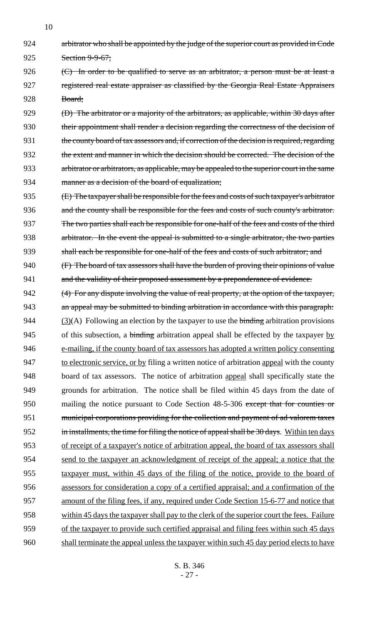924 arbitrator who shall be appointed by the judge of the superior court as provided in Code 925 Section 9-9-67;

926  $\left( \frac{C}{C} \right)$  In order to be qualified to serve as an arbitrator, a person must be at least a 927 registered real estate appraiser as classified by the Georgia Real Estate Appraisers 928 Board;

929 (D) The arbitrator or a majority of the arbitrators, as applicable, within 30 days after 930 their appointment shall render a decision regarding the correctness of the decision of 931 the county board of tax assessors and, if correction of the decision is required, regarding 932 the extent and manner in which the decision should be corrected. The decision of the 933 arbitrator or arbitrators, as applicable, may be appealed to the superior court in the same 934 manner as a decision of the board of equalization;

935 (E) The taxpayer shall be responsible for the fees and costs of such taxpayer's arbitrator 936 and the county shall be responsible for the fees and costs of such county's arbitrator. 937 The two parties shall each be responsible for one-half of the fees and costs of the third 938 arbitrator. In the event the appeal is submitted to a single arbitrator, the two parties 939 shall each be responsible for one-half of the fees and costs of such arbitrator; and

940 (F) The board of tax assessors shall have the burden of proving their opinions of value 941 and the validity of their proposed assessment by a preponderance of evidence.

942 (4) For any dispute involving the value of real property, at the option of the taxpayer, an appeal may be submitted to binding arbitration in accordance with this paragraph:  $(3)(A)$  Following an election by the taxpayer to use the binding arbitration provisions 945 of this subsection, a binding arbitration appeal shall be effected by the taxpayer by e-mailing, if the county board of tax assessors has adopted a written policy consenting to electronic service, or by filing a written notice of arbitration appeal with the county board of tax assessors. The notice of arbitration appeal shall specifically state the grounds for arbitration. The notice shall be filed within 45 days from the date of 950 mailing the notice pursuant to Code Section 48-5-306 except that for counties or municipal corporations providing for the collection and payment of ad valorem taxes 952 in installments, the time for filing the notice of appeal shall be 30 days. Within ten days of receipt of a taxpayer's notice of arbitration appeal, the board of tax assessors shall send to the taxpayer an acknowledgment of receipt of the appeal; a notice that the taxpayer must, within 45 days of the filing of the notice, provide to the board of assessors for consideration a copy of a certified appraisal; and a confirmation of the amount of the filing fees, if any, required under Code Section 15-6-77 and notice that within 45 days the taxpayer shall pay to the clerk of the superior court the fees. Failure of the taxpayer to provide such certified appraisal and filing fees within such 45 days shall terminate the appeal unless the taxpayer within such 45 day period elects to have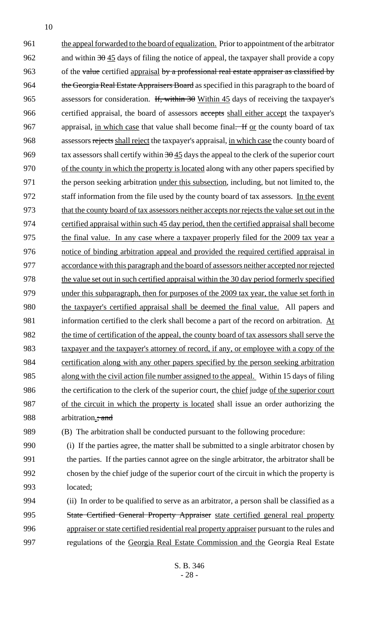961 the appeal forwarded to the board of equalization. Prior to appointment of the arbitrator 962 and within  $30\overline{45}$  days of filing the notice of appeal, the taxpayer shall provide a copy 963 of the value certified appraisal by a professional real estate appraiser as classified by 964 the Georgia Real Estate Appraisers Board as specified in this paragraph to the board of 965 assessors for consideration. If, within  $30$  Within 45 days of receiving the taxpayer's 966 certified appraisal, the board of assessors accepts shall either accept the taxpayer's 967 appraisal, in which case that value shall become final. If <u>or</u> the county board of tax 968 assessors rejects shall reject the taxpayer's appraisal, in which case the county board of 969 tax assessors shall certify within  $30\frac{45}{10}$  days the appeal to the clerk of the superior court 970 of the county in which the property is located along with any other papers specified by 971 the person seeking arbitration under this subsection, including, but not limited to, the 972 staff information from the file used by the county board of tax assessors. In the event 973 that the county board of tax assessors neither accepts nor rejects the value set out in the 974 certified appraisal within such 45 day period, then the certified appraisal shall become 975 the final value. In any case where a taxpayer properly filed for the 2009 tax year a 976 notice of binding arbitration appeal and provided the required certified appraisal in 977 accordance with this paragraph and the board of assessors neither accepted nor rejected 978 the value set out in such certified appraisal within the 30 day period formerly specified 979 under this subparagraph, then for purposes of the 2009 tax year, the value set forth in 980 the taxpayer's certified appraisal shall be deemed the final value. All papers and 981 information certified to the clerk shall become a part of the record on arbitration. At 982 the time of certification of the appeal, the county board of tax assessors shall serve the 983 taxpayer and the taxpayer's attorney of record, if any, or employee with a copy of the 984 certification along with any other papers specified by the person seeking arbitration 985 along with the civil action file number assigned to the appeal. Within 15 days of filing 986 the certification to the clerk of the superior court, the chief judge of the superior court 987 of the circuit in which the property is located shall issue an order authorizing the 988 arbitration<sub><sub>3</sub>; and</sub> 989 (B) The arbitration shall be conducted pursuant to the following procedure: 990 (i) If the parties agree, the matter shall be submitted to a single arbitrator chosen by

991 the parties. If the parties cannot agree on the single arbitrator, the arbitrator shall be 992 chosen by the chief judge of the superior court of the circuit in which the property is 993 located;

 (ii) In order to be qualified to serve as an arbitrator, a person shall be classified as a State Certified General Property Appraiser state certified general real property 996 appraiser or state certified residential real property appraiser pursuant to the rules and regulations of the Georgia Real Estate Commission and the Georgia Real Estate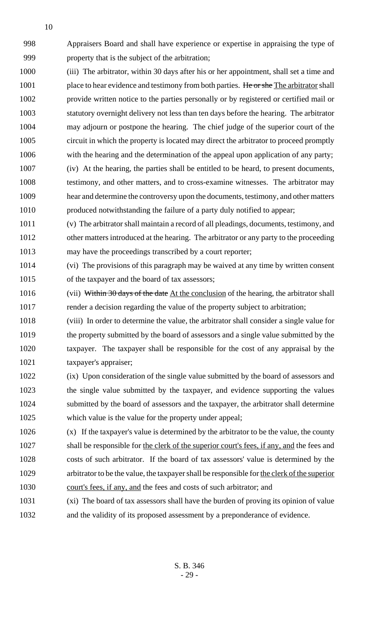Appraisers Board and shall have experience or expertise in appraising the type of property that is the subject of the arbitration;

- (iii) The arbitrator, within 30 days after his or her appointment, shall set a time and 1001 place to hear evidence and testimony from both parties. He or she The arbitrator shall provide written notice to the parties personally or by registered or certified mail or statutory overnight delivery not less than ten days before the hearing. The arbitrator may adjourn or postpone the hearing. The chief judge of the superior court of the circuit in which the property is located may direct the arbitrator to proceed promptly with the hearing and the determination of the appeal upon application of any party; (iv) At the hearing, the parties shall be entitled to be heard, to present documents, testimony, and other matters, and to cross-examine witnesses. The arbitrator may hear and determine the controversy upon the documents, testimony, and other matters produced notwithstanding the failure of a party duly notified to appear;
- (v) The arbitrator shall maintain a record of all pleadings, documents, testimony, and other matters introduced at the hearing. The arbitrator or any party to the proceeding may have the proceedings transcribed by a court reporter;
- (vi) The provisions of this paragraph may be waived at any time by written consent of the taxpayer and the board of tax assessors;
- 1016 (vii) Within 30 days of the date At the conclusion of the hearing, the arbitrator shall render a decision regarding the value of the property subject to arbitration;
- (viii) In order to determine the value, the arbitrator shall consider a single value for the property submitted by the board of assessors and a single value submitted by the taxpayer. The taxpayer shall be responsible for the cost of any appraisal by the taxpayer's appraiser;
- (ix) Upon consideration of the single value submitted by the board of assessors and the single value submitted by the taxpayer, and evidence supporting the values submitted by the board of assessors and the taxpayer, the arbitrator shall determine which value is the value for the property under appeal;
- (x) If the taxpayer's value is determined by the arbitrator to be the value, the county shall be responsible for the clerk of the superior court's fees, if any, and the fees and costs of such arbitrator. If the board of tax assessors' value is determined by the 1029 arbitrator to be the value, the taxpayer shall be responsible for the clerk of the superior court's fees, if any, and the fees and costs of such arbitrator; and
- (xi) The board of tax assessors shall have the burden of proving its opinion of value
- and the validity of its proposed assessment by a preponderance of evidence.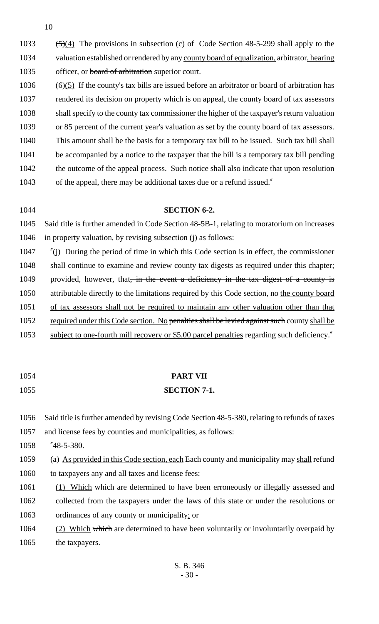$(5)(4)$  The provisions in subsection (c) of Code Section 48-5-299 shall apply to the valuation established or rendered by any county board of equalization, arbitrator, hearing 1035 officer, or board of arbitration superior court.  $(6)(5)$  If the county's tax bills are issued before an arbitrator or board of arbitration has rendered its decision on property which is on appeal, the county board of tax assessors shall specify to the county tax commissioner the higher of the taxpayer's return valuation

1039 or 85 percent of the current year's valuation as set by the county board of tax assessors.

1040 This amount shall be the basis for a temporary tax bill to be issued. Such tax bill shall

- 1041 be accompanied by a notice to the taxpayer that the bill is a temporary tax bill pending
- 1042 the outcome of the appeal process. Such notice shall also indicate that upon resolution 1043 of the appeal, there may be additional taxes due or a refund issued."

1044 **SECTION 6-2.** 1045 Said title is further amended in Code Section 48-5B-1, relating to moratorium on increases 1046 in property valuation, by revising subsection (j) as follows:

1047 "(j) During the period of time in which this Code section is in effect, the commissioner 1048 shall continue to examine and review county tax digests as required under this chapter; 1049 provided, however, that, in the event a deficiency in the tax digest of a county is 1050 attributable directly to the limitations required by this Code section, no the county board 1051 of tax assessors shall not be required to maintain any other valuation other than that 1052 required under this Code section. No penalties shall be levied against such county shall be 1053 subject to one-fourth mill recovery or \$5.00 parcel penalties regarding such deficiency."

# 1054 **PART VII**

# 1055 **SECTION 7-1.**

1056 Said title is further amended by revising Code Section 48-5-380, relating to refunds of taxes

1057 and license fees by counties and municipalities, as follows:

1058 "48-5-380.

1059 (a) As provided in this Code section, each Each county and municipality may shall refund

- 1060 to taxpayers any and all taxes and license fees:
- 1061 (1) Which which are determined to have been erroneously or illegally assessed and 1062 collected from the taxpayers under the laws of this state or under the resolutions or 1063 ordinances of any county or municipality; or

1064 (2) Which which are determined to have been voluntarily or involuntarily overpaid by 1065 the taxpayers.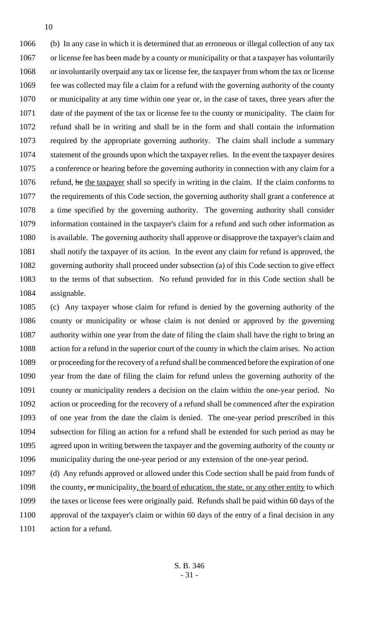(b) In any case in which it is determined that an erroneous or illegal collection of any tax or license fee has been made by a county or municipality or that a taxpayer has voluntarily or involuntarily overpaid any tax or license fee, the taxpayer from whom the tax or license fee was collected may file a claim for a refund with the governing authority of the county or municipality at any time within one year or, in the case of taxes, three years after the date of the payment of the tax or license fee to the county or municipality. The claim for refund shall be in writing and shall be in the form and shall contain the information required by the appropriate governing authority. The claim shall include a summary statement of the grounds upon which the taxpayer relies. In the event the taxpayer desires a conference or hearing before the governing authority in connection with any claim for a 1076 refund, he the taxpayer shall so specify in writing in the claim. If the claim conforms to the requirements of this Code section, the governing authority shall grant a conference at a time specified by the governing authority. The governing authority shall consider information contained in the taxpayer's claim for a refund and such other information as is available. The governing authority shall approve or disapprove the taxpayer's claim and shall notify the taxpayer of its action. In the event any claim for refund is approved, the governing authority shall proceed under subsection (a) of this Code section to give effect to the terms of that subsection. No refund provided for in this Code section shall be assignable.

 (c) Any taxpayer whose claim for refund is denied by the governing authority of the county or municipality or whose claim is not denied or approved by the governing authority within one year from the date of filing the claim shall have the right to bring an action for a refund in the superior court of the county in which the claim arises. No action or proceeding for the recovery of a refund shall be commenced before the expiration of one year from the date of filing the claim for refund unless the governing authority of the county or municipality renders a decision on the claim within the one-year period. No action or proceeding for the recovery of a refund shall be commenced after the expiration of one year from the date the claim is denied. The one-year period prescribed in this subsection for filing an action for a refund shall be extended for such period as may be agreed upon in writing between the taxpayer and the governing authority of the county or municipality during the one-year period or any extension of the one-year period.

 (d) Any refunds approved or allowed under this Code section shall be paid from funds of 1098 the county, or municipality, the board of education, the state, or any other entity to which the taxes or license fees were originally paid. Refunds shall be paid within 60 days of the approval of the taxpayer's claim or within 60 days of the entry of a final decision in any 1101 action for a refund.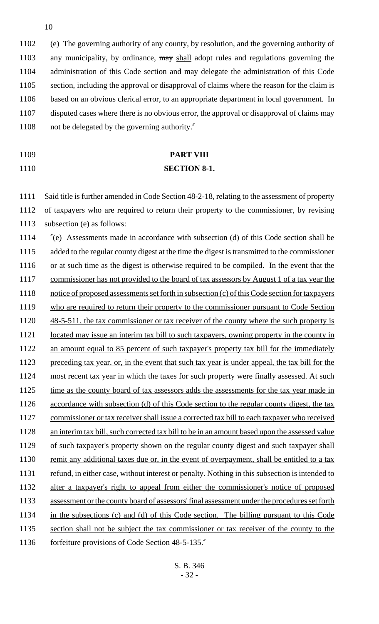(e) The governing authority of any county, by resolution, and the governing authority of 1103 any municipality, by ordinance, may shall adopt rules and regulations governing the administration of this Code section and may delegate the administration of this Code 1105 section, including the approval or disapproval of claims where the reason for the claim is based on an obvious clerical error, to an appropriate department in local government. In disputed cases where there is no obvious error, the approval or disapproval of claims may not be delegated by the governing authority."

# 1109 **PART VIII** 1110 **SECTION 8-1.**

1111 Said title is further amended in Code Section 48-2-18, relating to the assessment of property 1112 of taxpayers who are required to return their property to the commissioner, by revising 1113 subsection (e) as follows:

1114 "(e) Assessments made in accordance with subsection (d) of this Code section shall be 1115 added to the regular county digest at the time the digest is transmitted to the commissioner 1116 or at such time as the digest is otherwise required to be compiled. In the event that the 1117 commissioner has not provided to the board of tax assessors by August 1 of a tax year the 1118 notice of proposed assessments set forth in subsection (c) of this Code section for taxpayers 1119 who are required to return their property to the commissioner pursuant to Code Section 1120 48-5-511, the tax commissioner or tax receiver of the county where the such property is 1121 located may issue an interim tax bill to such taxpayers, owning property in the county in 1122 an amount equal to 85 percent of such taxpayer's property tax bill for the immediately 1123 preceding tax year. or, in the event that such tax year is under appeal, the tax bill for the 1124 most recent tax year in which the taxes for such property were finally assessed. At such 1125 time as the county board of tax assessors adds the assessments for the tax year made in 1126 accordance with subsection (d) of this Code section to the regular county digest, the tax 1127 commissioner or tax receiver shall issue a corrected tax bill to each taxpayer who received 1128 an interim tax bill, such corrected tax bill to be in an amount based upon the assessed value 1129 of such taxpayer's property shown on the regular county digest and such taxpayer shall 1130 remit any additional taxes due or, in the event of overpayment, shall be entitled to a tax 1131 refund, in either case, without interest or penalty. Nothing in this subsection is intended to 1132 alter a taxpayer's right to appeal from either the commissioner's notice of proposed 1133 assessment or the county board of assessors' final assessment under the procedures set forth 1134 in the subsections (c) and (d) of this Code section. The billing pursuant to this Code 1135 section shall not be subject the tax commissioner or tax receiver of the county to the 1136 forfeiture provisions of Code Section 48-5-135.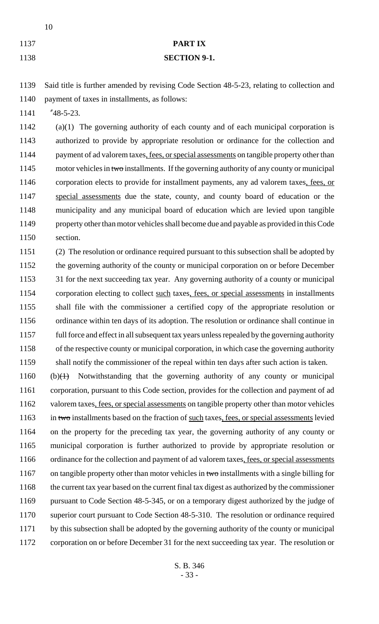# **PART IX**

#### **SECTION 9-1.**

 Said title is further amended by revising Code Section 48-5-23, relating to collection and payment of taxes in installments, as follows:

"48-5-23.

 (a)(1) The governing authority of each county and of each municipal corporation is authorized to provide by appropriate resolution or ordinance for the collection and 1144 payment of ad valorem taxes, fees, or special assessments on tangible property other than 1145 motor vehicles in two installments. If the governing authority of any county or municipal corporation elects to provide for installment payments, any ad valorem taxes, fees, or special assessments due the state, county, and county board of education or the municipality and any municipal board of education which are levied upon tangible property other than motor vehicles shall become due and payable as provided in this Code section.

 (2) The resolution or ordinance required pursuant to this subsection shall be adopted by 1152 the governing authority of the county or municipal corporation on or before December 1153 31 for the next succeeding tax year. Any governing authority of a county or municipal corporation electing to collect such taxes, fees, or special assessments in installments shall file with the commissioner a certified copy of the appropriate resolution or ordinance within ten days of its adoption. The resolution or ordinance shall continue in full force and effect in all subsequent tax years unless repealed by the governing authority of the respective county or municipal corporation, in which case the governing authority shall notify the commissioner of the repeal within ten days after such action is taken.

 (b) $\text{(+)}$  Notwithstanding that the governing authority of any county or municipal corporation, pursuant to this Code section, provides for the collection and payment of ad 1162 valorem taxes, fees, or special assessments on tangible property other than motor vehicles 1163 in two installments based on the fraction of such taxes, fees, or special assessments levied on the property for the preceding tax year, the governing authority of any county or municipal corporation is further authorized to provide by appropriate resolution or 1166 ordinance for the collection and payment of ad valorem taxes, fees, or special assessments 1167 on tangible property other than motor vehicles in two installments with a single billing for the current tax year based on the current final tax digest as authorized by the commissioner pursuant to Code Section 48-5-345, or on a temporary digest authorized by the judge of superior court pursuant to Code Section 48-5-310. The resolution or ordinance required by this subsection shall be adopted by the governing authority of the county or municipal corporation on or before December 31 for the next succeeding tax year. The resolution or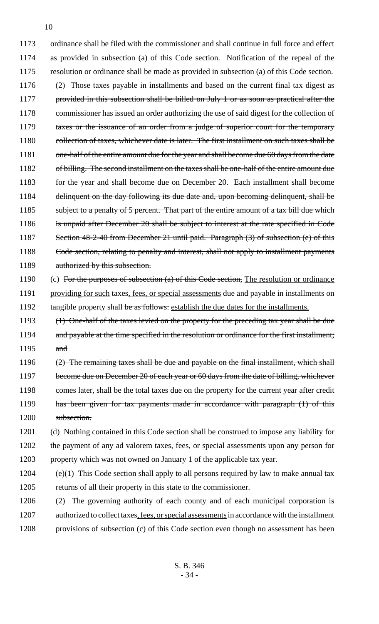1173 ordinance shall be filed with the commissioner and shall continue in full force and effect 1174 as provided in subsection (a) of this Code section. Notification of the repeal of the 1175 resolution or ordinance shall be made as provided in subsection (a) of this Code section. 1176 (2) Those taxes payable in installments and based on the current final tax digest as 1177 provided in this subsection shall be billed on July 1 or as soon as practical after the 1178 commissioner has issued an order authorizing the use of said digest for the collection of 1179 taxes or the issuance of an order from a judge of superior court for the temporary 1180 collection of taxes, whichever date is later. The first installment on such taxes shall be 1181 one-half of the entire amount due for the year and shall become due 60 days from the date 1182 of billing. The second installment on the taxes shall be one-half of the entire amount due 1183 for the year and shall become due on December 20. Each installment shall become 1184 delinquent on the day following its due date and, upon becoming delinquent, shall be 1185 subject to a penalty of 5 percent. That part of the entire amount of a tax bill due which 1186 is unpaid after December 20 shall be subject to interest at the rate specified in Code 1187 Section 48-2-40 from December 21 until paid. Paragraph (3) of subsection (e) of this 1188 Code section, relating to penalty and interest, shall not apply to installment payments 1189 authorized by this subsection.

- 1190 (c) For the purposes of subsection (a) of this Code section, The resolution or ordinance 1191 providing for such taxes, fees, or special assessments due and payable in installments on 1192 tangible property shall be as follows: establish the due dates for the installments.
- 1193 (1) One-half of the taxes levied on the property for the preceding tax year shall be due 1194 and payable at the time specified in the resolution or ordinance for the first installment; 1195 and
- 1196 (2) The remaining taxes shall be due and payable on the final installment, which shall 1197 become due on December 20 of each year or 60 days from the date of billing, whichever 1198 comes later, shall be the total taxes due on the property for the current year after credit 1199 has been given for tax payments made in accordance with paragraph (1) of this 1200 subsection.
- 1201 (d) Nothing contained in this Code section shall be construed to impose any liability for 1202 the payment of any ad valorem taxes, fees, or special assessments upon any person for 1203 property which was not owned on January 1 of the applicable tax year.
- 1204 (e)(1) This Code section shall apply to all persons required by law to make annual tax 1205 returns of all their property in this state to the commissioner.
- 1206 (2) The governing authority of each county and of each municipal corporation is 1207 authorized to collect taxes, fees, or special assessments in accordance with the installment 1208 provisions of subsection (c) of this Code section even though no assessment has been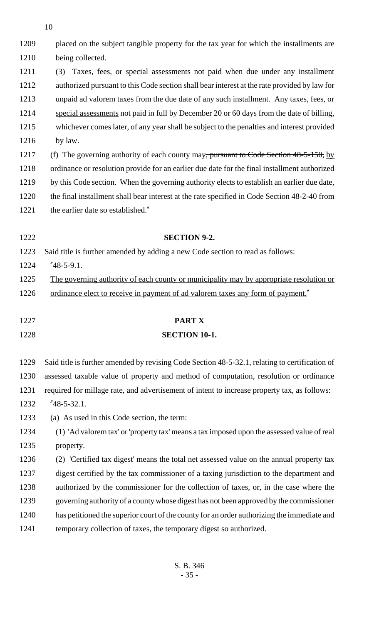| 1209 | placed on the subject tangible property for the tax year for which the installments are        |
|------|------------------------------------------------------------------------------------------------|
| 1210 | being collected.                                                                               |
| 1211 | Taxes, fees, or special assessments not paid when due under any installment<br>(3)             |
| 1212 | authorized pursuant to this Code section shall bear interest at the rate provided by law for   |
| 1213 | unpaid ad valorem taxes from the due date of any such installment. Any taxes, fees, or         |
| 1214 | special assessments not paid in full by December 20 or 60 days from the date of billing,       |
| 1215 | whichever comes later, of any year shall be subject to the penalties and interest provided     |
| 1216 | by law.                                                                                        |
| 1217 | (f) The governing authority of each county may, pursuant to Code Section $48-5-150$ , by       |
| 1218 | ordinance or resolution provide for an earlier due date for the final installment authorized   |
| 1219 | by this Code section. When the governing authority elects to establish an earlier due date,    |
| 1220 | the final installment shall bear interest at the rate specified in Code Section 48-2-40 from   |
| 1221 | the earlier date so established."                                                              |
| 1222 | <b>SECTION 9-2.</b>                                                                            |
| 1223 | Said title is further amended by adding a new Code section to read as follows:                 |
| 1224 | "48-5-9.1.                                                                                     |
| 1225 | The governing authority of each county or municipality may by appropriate resolution or        |
| 1226 | ordinance elect to receive in payment of ad valorem taxes any form of payment."                |
| 1227 | PART X                                                                                         |
| 1228 | <b>SECTION 10-1.</b>                                                                           |
| 1229 | Said title is further amended by revising Code Section 48-5-32.1, relating to certification of |
| 1230 | assessed taxable value of property and method of computation, resolution or ordinance          |
| 1231 | required for millage rate, and advertisement of intent to increase property tax, as follows:   |
| 1232 | $"48-5-32.1.$                                                                                  |
| 1233 | (a) As used in this Code section, the term:                                                    |
| 1234 | (1) 'Ad valorem tax' or 'property tax' means a tax imposed upon the assessed value of real     |
| 1235 | property.                                                                                      |
| 1236 | (2) 'Certified tax digest' means the total net assessed value on the annual property tax       |
| 1237 | digest certified by the tax commissioner of a taxing jurisdiction to the department and        |
| 1238 | authorized by the commissioner for the collection of taxes, or, in the case where the          |
| 1239 | governing authority of a county whose digest has not been approved by the commissioner         |
| 1240 | has petitioned the superior court of the county for an order authorizing the immediate and     |
| 1241 | temporary collection of taxes, the temporary digest so authorized.                             |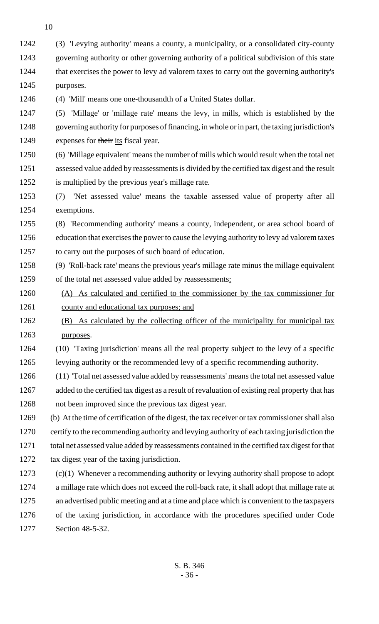(3) 'Levying authority' means a county, a municipality, or a consolidated city-county governing authority or other governing authority of a political subdivision of this state that exercises the power to levy ad valorem taxes to carry out the governing authority's purposes.

(4) 'Mill' means one one-thousandth of a United States dollar.

 (5) 'Millage' or 'millage rate' means the levy, in mills, which is established by the governing authority for purposes of financing, in whole or in part, the taxing jurisdiction's 1249 expenses for their its fiscal year.

 (6) 'Millage equivalent' means the number of mills which would result when the total net assessed value added by reassessments is divided by the certified tax digest and the result is multiplied by the previous year's millage rate.

 (7) 'Net assessed value' means the taxable assessed value of property after all exemptions.

 (8) 'Recommending authority' means a county, independent, or area school board of education that exercises the power to cause the levying authority to levy ad valorem taxes to carry out the purposes of such board of education.

 (9) 'Roll-back rate' means the previous year's millage rate minus the millage equivalent of the total net assessed value added by reassessments:

 (A) As calculated and certified to the commissioner by the tax commissioner for county and educational tax purposes; and

 (B) As calculated by the collecting officer of the municipality for municipal tax purposes.

 (10) 'Taxing jurisdiction' means all the real property subject to the levy of a specific levying authority or the recommended levy of a specific recommending authority.

 (11) 'Total net assessed value added by reassessments' means the total net assessed value added to the certified tax digest as a result of revaluation of existing real property that has not been improved since the previous tax digest year.

 (b) At the time of certification of the digest, the tax receiver or tax commissioner shall also certify to the recommending authority and levying authority of each taxing jurisdiction the total net assessed value added by reassessments contained in the certified tax digest for that tax digest year of the taxing jurisdiction.

 (c)(1) Whenever a recommending authority or levying authority shall propose to adopt a millage rate which does not exceed the roll-back rate, it shall adopt that millage rate at an advertised public meeting and at a time and place which is convenient to the taxpayers of the taxing jurisdiction, in accordance with the procedures specified under Code Section 48-5-32.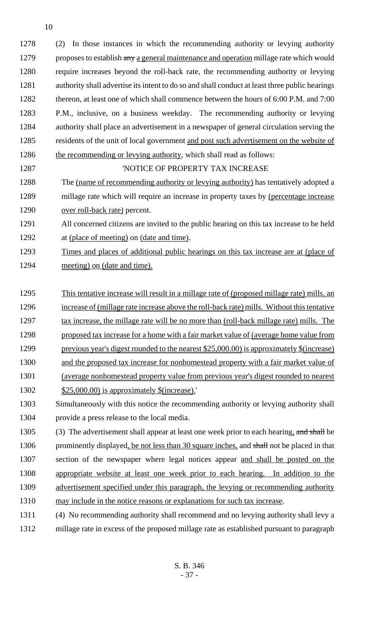(2) In those instances in which the recommending authority or levying authority 1279 proposes to establish any a general maintenance and operation millage rate which would require increases beyond the roll-back rate, the recommending authority or levying authority shall advertise its intent to do so and shall conduct at least three public hearings 1282 thereon, at least one of which shall commence between the hours of 6:00 P.M. and 7:00 P.M., inclusive, on a business weekday. The recommending authority or levying authority shall place an advertisement in a newspaper of general circulation serving the residents of the unit of local government and post such advertisement on the website of 1286 the recommending or levying authority, which shall read as follows:

**INDERTY TAX INCREASE** 

 The (name of recommending authority or levying authority) has tentatively adopted a millage rate which will require an increase in property taxes by (percentage increase over roll-back rate) percent.

 All concerned citizens are invited to the public hearing on this tax increase to be held at (place of meeting) on (date and time).

 Times and places of additional public hearings on this tax increase are at (place of 1294 meeting) on (date and time).

 This tentative increase will result in a millage rate of (proposed millage rate) mills, an increase of (millage rate increase above the roll-back rate) mills. Without this tentative 1297 tax increase, the millage rate will be no more than (roll-back millage rate) mills. The 1298 proposed tax increase for a home with a fair market value of (average home value from previous year's digest rounded to the nearest \$25,000.00) is approximately \$(increase) and the proposed tax increase for nonhomestead property with a fair market value of (average nonhomestead property value from previous year's digest rounded to nearest \$25,000.00) is approximately \$(increase).'

 Simultaneously with this notice the recommending authority or levying authority shall provide a press release to the local media.

1305 (3) The advertisement shall appear at least one week prior to each hearing, and shall be 1306 prominently displayed, be not less than 30 square inches, and shall not be placed in that section of the newspaper where legal notices appear and shall be posted on the appropriate website at least one week prior to each hearing. In addition to the advertisement specified under this paragraph, the levying or recommending authority may include in the notice reasons or explanations for such tax increase.

(4) No recommending authority shall recommend and no levying authority shall levy a

millage rate in excess of the proposed millage rate as established pursuant to paragraph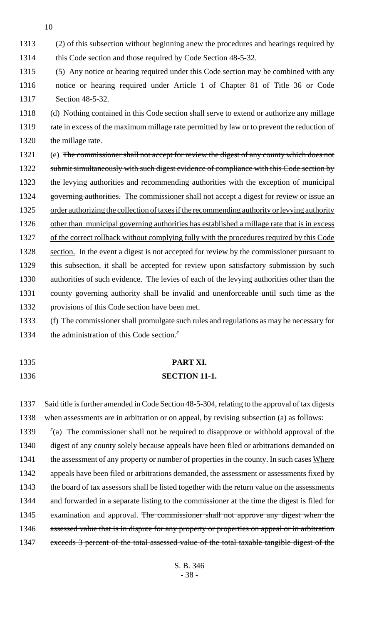1313 (2) of this subsection without beginning anew the procedures and hearings required by

1314 this Code section and those required by Code Section 48-5-32.

1315 (5) Any notice or hearing required under this Code section may be combined with any 1316 notice or hearing required under Article 1 of Chapter 81 of Title 36 or Code 1317 Section 48-5-32.

1318 (d) Nothing contained in this Code section shall serve to extend or authorize any millage 1319 rate in excess of the maximum millage rate permitted by law or to prevent the reduction of 1320 the millage rate.

- 1321 (e) The commissioner shall not accept for review the digest of any county which does not 1322 submit simultaneously with such digest evidence of compliance with this Code section by 1323 the levying authorities and recommending authorities with the exception of municipal 1324 governing authorities. The commissioner shall not accept a digest for review or issue an 1325 order authorizing the collection of taxes if the recommending authority or levying authority 1326 other than municipal governing authorities has established a millage rate that is in excess 1327 of the correct rollback without complying fully with the procedures required by this Code 1328 section. In the event a digest is not accepted for review by the commissioner pursuant to 1329 this subsection, it shall be accepted for review upon satisfactory submission by such 1330 authorities of such evidence. The levies of each of the levying authorities other than the 1331 county governing authority shall be invalid and unenforceable until such time as the 1332 provisions of this Code section have been met.
- 1333 (f) The commissioner shall promulgate such rules and regulations as may be necessary for 1334 the administration of this Code section."
- 
- 

# 1335 **PART XI.**

### 1336 **SECTION 11-1.**

1337 Said title is further amended in Code Section 48-5-304, relating to the approval of tax digests 1338 when assessments are in arbitration or on appeal, by revising subsection (a) as follows:

1339 "(a) The commissioner shall not be required to disapprove or withhold approval of the 1340 digest of any county solely because appeals have been filed or arbitrations demanded on 1341 the assessment of any property or number of properties in the county. In such cases Where 1342 appeals have been filed or arbitrations demanded, the assessment or assessments fixed by 1343 the board of tax assessors shall be listed together with the return value on the assessments 1344 and forwarded in a separate listing to the commissioner at the time the digest is filed for 1345 examination and approval. The commissioner shall not approve any digest when the 1346 assessed value that is in dispute for any property or properties on appeal or in arbitration 1347 exceeds 3 percent of the total assessed value of the total taxable tangible digest of the